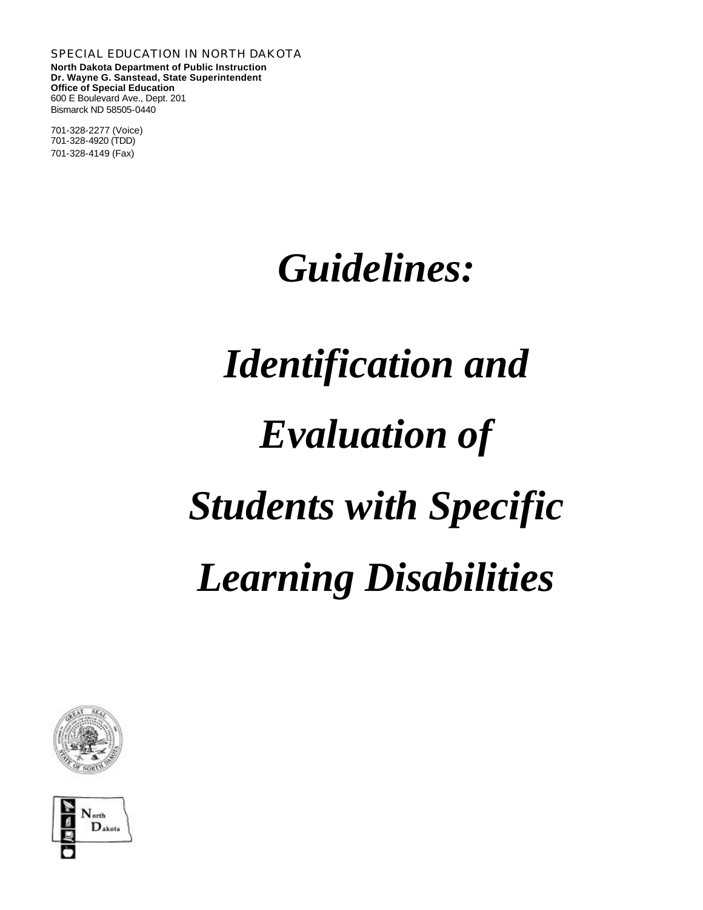*SPECIAL EDUCATION IN NORTH DAKOTA* **North Dakota Department of Public Instruction Dr. Wayne G. Sanstead, State Superintendent Office of Special Education** 600 E Boulevard Ave., Dept. 201 Bismarck ND 58505-0440

701-328-2277 (Voice) 701-328-4920 (TDD) 701-328-4149 (Fax)

### *Guidelines:*

## *Identification and*

### *Evaluation of*

### *Students with Specific*

## *Learning Disabilities*



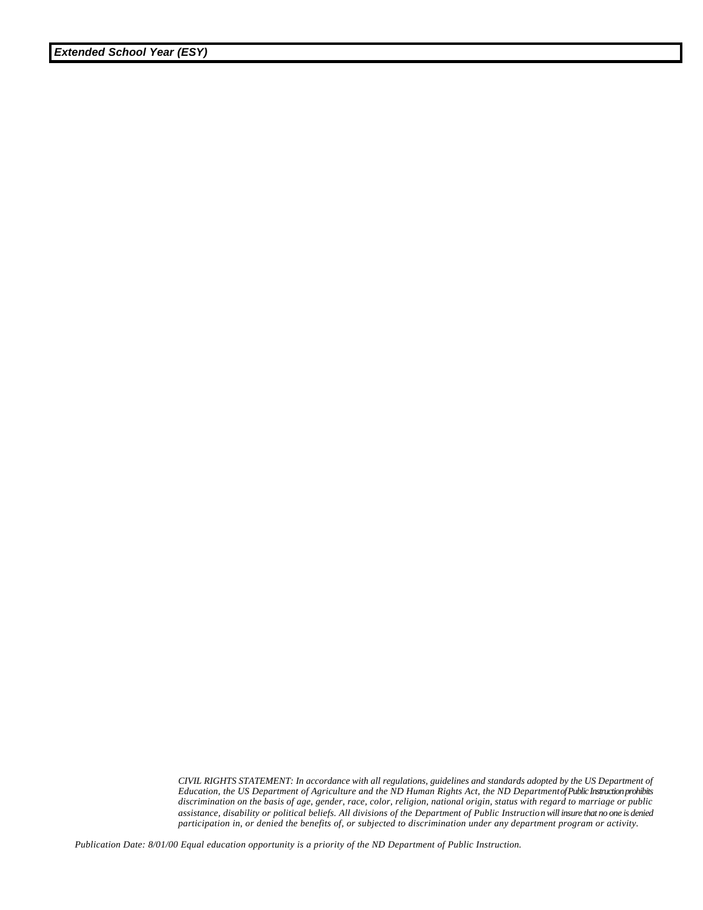*CIVIL RIGHTS STATEMENT: In accordance with all regulations, guidelines and standards adopted by the US Department of Education, the US Department of Agriculture and the ND Human Rights Act, the ND Department of Public Instruction prohibits discrimination on the basis of age, gender, race, color, religion, national origin, status with regard to marriage or public assistance, disability or political beliefs. All divisions of the Department of Public Instruction will insure that no one is denied participation in, or denied the benefits of, or subjected to discrimination under any department program or activity.*

*Publication Date: 8/01/00 Equal education opportunity is a priority of the ND Department of Public Instruction.*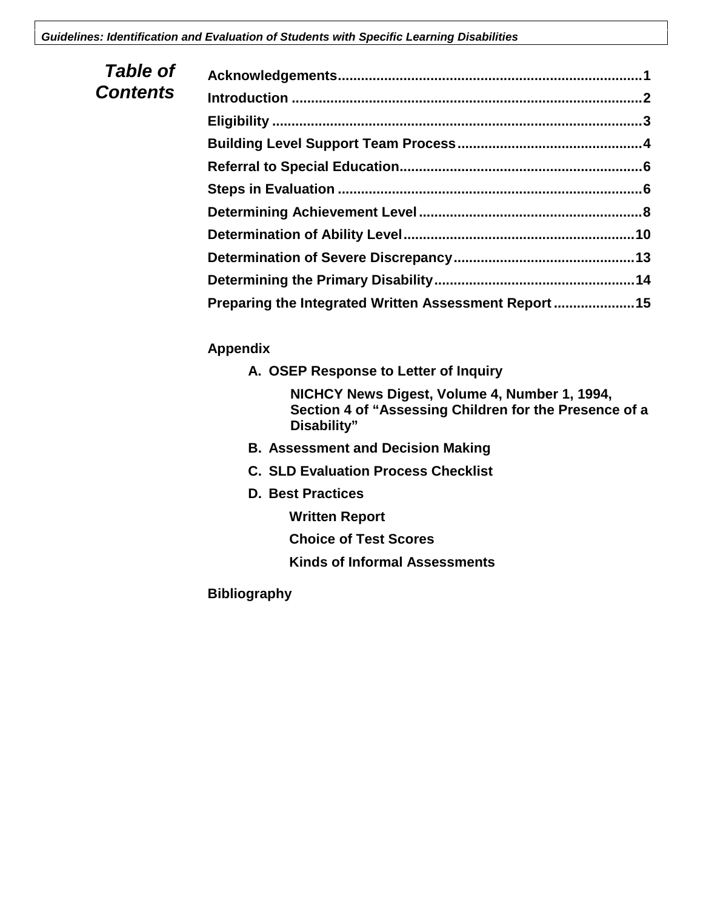#### **Table of Contents**

| Preparing the Integrated Written Assessment Report  15 |  |
|--------------------------------------------------------|--|

#### **Appendix**

**A. OSEP Response to Letter of Inquiry** 

**NICHCY News Digest, Volume 4, Number 1, 1994, Section 4 of "Assessing Children for the Presence of a Disability"** 

- **B. Assessment and Decision Making**
- **C. SLD Evaluation Process Checklist**
- **D. Best Practices**

 **Written Report** 

 **Choice of Test Scores** 

 **Kinds of Informal Assessments** 

**Bibliography**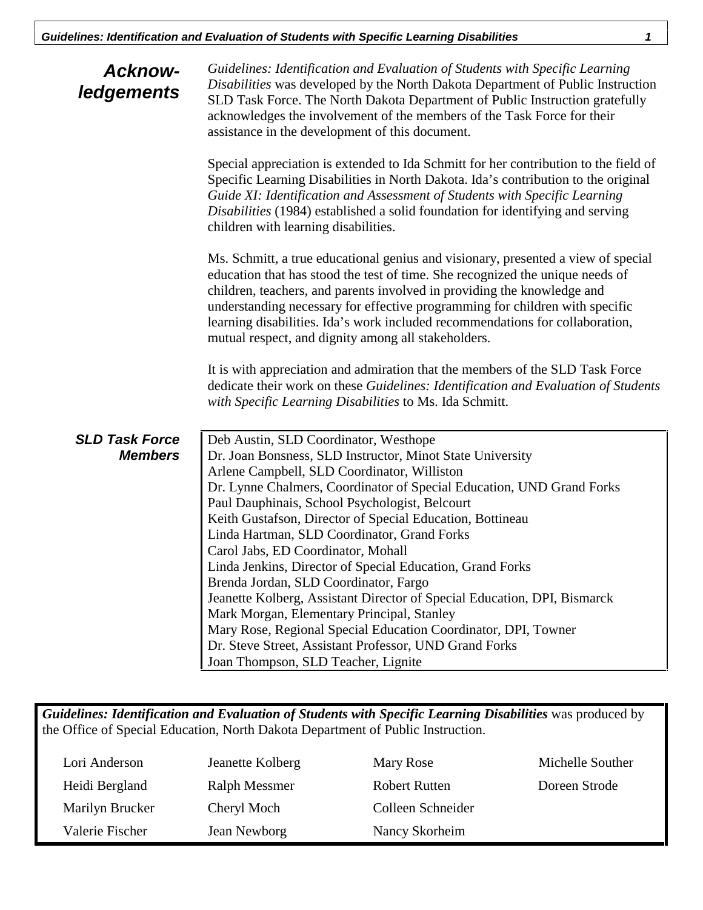| <b>Acknow-</b><br>ledgements            | Guidelines: Identification and Evaluation of Students with Specific Learning<br>Disabilities was developed by the North Dakota Department of Public Instruction<br>SLD Task Force. The North Dakota Department of Public Instruction gratefully<br>acknowledges the involvement of the members of the Task Force for their<br>assistance in the development of this document.                                                                                                                                                                                                                                                                                                                                                                                                                                                     |
|-----------------------------------------|-----------------------------------------------------------------------------------------------------------------------------------------------------------------------------------------------------------------------------------------------------------------------------------------------------------------------------------------------------------------------------------------------------------------------------------------------------------------------------------------------------------------------------------------------------------------------------------------------------------------------------------------------------------------------------------------------------------------------------------------------------------------------------------------------------------------------------------|
|                                         | Special appreciation is extended to Ida Schmitt for her contribution to the field of<br>Specific Learning Disabilities in North Dakota. Ida's contribution to the original<br>Guide XI: Identification and Assessment of Students with Specific Learning<br>Disabilities (1984) established a solid foundation for identifying and serving<br>children with learning disabilities.                                                                                                                                                                                                                                                                                                                                                                                                                                                |
|                                         | Ms. Schmitt, a true educational genius and visionary, presented a view of special<br>education that has stood the test of time. She recognized the unique needs of<br>children, teachers, and parents involved in providing the knowledge and<br>understanding necessary for effective programming for children with specific<br>learning disabilities. Ida's work included recommendations for collaboration,<br>mutual respect, and dignity among all stakeholders.                                                                                                                                                                                                                                                                                                                                                             |
|                                         | It is with appreciation and admiration that the members of the SLD Task Force<br>dedicate their work on these Guidelines: Identification and Evaluation of Students<br>with Specific Learning Disabilities to Ms. Ida Schmitt.                                                                                                                                                                                                                                                                                                                                                                                                                                                                                                                                                                                                    |
| <b>SLD Task Force</b><br><b>Members</b> | Deb Austin, SLD Coordinator, Westhope<br>Dr. Joan Bonsness, SLD Instructor, Minot State University<br>Arlene Campbell, SLD Coordinator, Williston<br>Dr. Lynne Chalmers, Coordinator of Special Education, UND Grand Forks<br>Paul Dauphinais, School Psychologist, Belcourt<br>Keith Gustafson, Director of Special Education, Bottineau<br>Linda Hartman, SLD Coordinator, Grand Forks<br>Carol Jabs, ED Coordinator, Mohall<br>Linda Jenkins, Director of Special Education, Grand Forks<br>Brenda Jordan, SLD Coordinator, Fargo<br>Jeanette Kolberg, Assistant Director of Special Education, DPI, Bismarck<br>Mark Morgan, Elementary Principal, Stanley<br>Mary Rose, Regional Special Education Coordinator, DPI, Towner<br>Dr. Steve Street, Assistant Professor, UND Grand Forks<br>Joan Thompson, SLD Teacher, Lignite |

*Guidelines: Identification and Evaluation of Students with Specific Learning Disabilities* was produced by the Office of Special Education, North Dakota Department of Public Instruction.

| Lori Anderson   | Jeanette Kolberg     | Mary Rose            | Michelle Souther |
|-----------------|----------------------|----------------------|------------------|
| Heidi Bergland  | <b>Ralph Messmer</b> | <b>Robert Rutten</b> | Doreen Strode    |
| Marilyn Brucker | Cheryl Moch          | Colleen Schneider    |                  |
| Valerie Fischer | Jean Newborg         | Nancy Skorheim       |                  |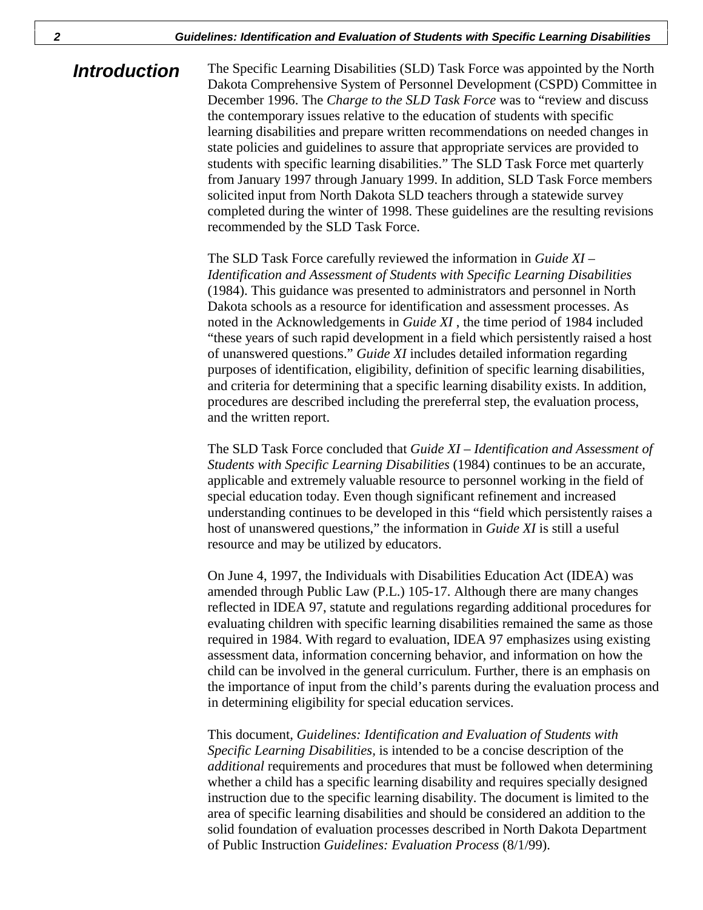**Introduction** The Specific Learning Disabilities (SLD) Task Force was appointed by the North Dakota Comprehensive System of Personnel Development (CSPD) Committee in December 1996. The *Charge to the SLD Task Force* was to "review and discuss the contemporary issues relative to the education of students with specific learning disabilities and prepare written recommendations on needed changes in state policies and guidelines to assure that appropriate services are provided to students with specific learning disabilities." The SLD Task Force met quarterly from January 1997 through January 1999. In addition, SLD Task Force members solicited input from North Dakota SLD teachers through a statewide survey completed during the winter of 1998. These guidelines are the resulting revisions recommended by the SLD Task Force.

> The SLD Task Force carefully reviewed the information in *Guide XI – Identification and Assessment of Students with Specific Learning Disabilities*  (1984). This guidance was presented to administrators and personnel in North Dakota schools as a resource for identification and assessment processes. As noted in the Acknowledgements in *Guide XI* , the time period of 1984 included "these years of such rapid development in a field which persistently raised a host of unanswered questions." *Guide XI* includes detailed information regarding purposes of identification, eligibility, definition of specific learning disabilities, and criteria for determining that a specific learning disability exists. In addition, procedures are described including the prereferral step, the evaluation process, and the written report.

> The SLD Task Force concluded that *Guide XI – Identification and Assessment of Students with Specific Learning Disabilities* (1984) continues to be an accurate, applicable and extremely valuable resource to personnel working in the field of special education today. Even though significant refinement and increased understanding continues to be developed in this "field which persistently raises a host of unanswered questions," the information in *Guide XI* is still a useful resource and may be utilized by educators.

> On June 4, 1997, the Individuals with Disabilities Education Act (IDEA) was amended through Public Law (P.L.) 105-17. Although there are many changes reflected in IDEA 97, statute and regulations regarding additional procedures for evaluating children with specific learning disabilities remained the same as those required in 1984. With regard to evaluation, IDEA 97 emphasizes using existing assessment data, information concerning behavior, and information on how the child can be involved in the general curriculum. Further, there is an emphasis on the importance of input from the child's parents during the evaluation process and in determining eligibility for special education services.

This document, *Guidelines: Identification and Evaluation of Students with Specific Learning Disabilities,* is intended to be a concise description of the *additional* requirements and procedures that must be followed when determining whether a child has a specific learning disability and requires specially designed instruction due to the specific learning disability. The document is limited to the area of specific learning disabilities and should be considered an addition to the solid foundation of evaluation processes described in North Dakota Department of Public Instruction *Guidelines: Evaluation Process* (8/1/99).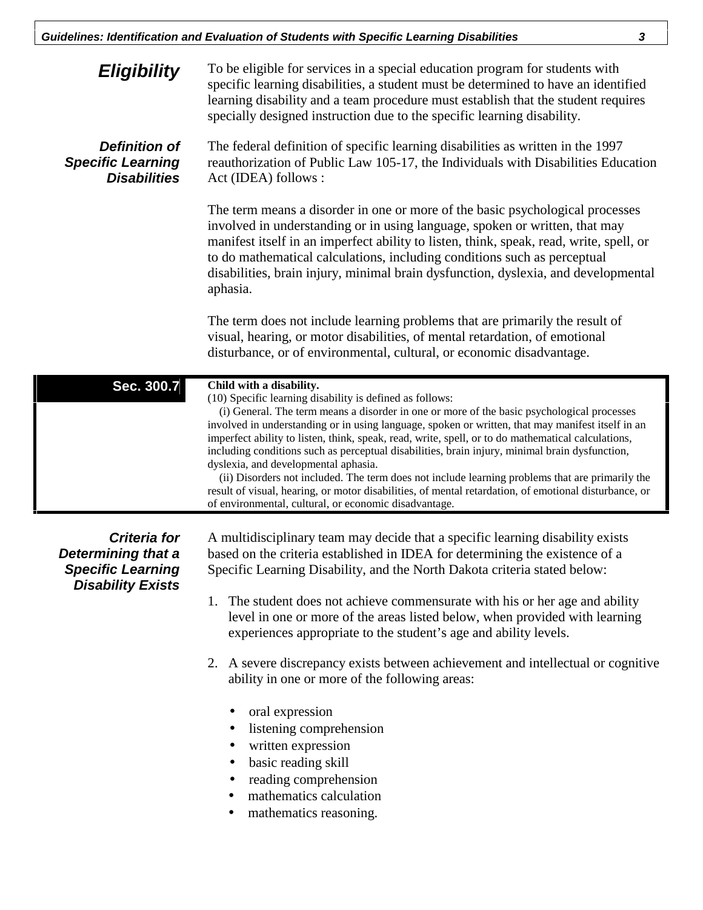**Guidelines: Identification and Evaluation of Students with Specific Learning Disabilities 3**

T

| <b>Eligibility</b>                                                                                | To be eligible for services in a special education program for students with<br>specific learning disabilities, a student must be determined to have an identified<br>learning disability and a team procedure must establish that the student requires<br>specially designed instruction due to the specific learning disability.                                                                                                                                                                                                                                                                                                                                                                                                                                                                           |
|---------------------------------------------------------------------------------------------------|--------------------------------------------------------------------------------------------------------------------------------------------------------------------------------------------------------------------------------------------------------------------------------------------------------------------------------------------------------------------------------------------------------------------------------------------------------------------------------------------------------------------------------------------------------------------------------------------------------------------------------------------------------------------------------------------------------------------------------------------------------------------------------------------------------------|
| <b>Definition of</b><br><b>Specific Learning</b><br><b>Disabilities</b>                           | The federal definition of specific learning disabilities as written in the 1997<br>reauthorization of Public Law 105-17, the Individuals with Disabilities Education<br>Act (IDEA) follows :                                                                                                                                                                                                                                                                                                                                                                                                                                                                                                                                                                                                                 |
|                                                                                                   | The term means a disorder in one or more of the basic psychological processes<br>involved in understanding or in using language, spoken or written, that may<br>manifest itself in an imperfect ability to listen, think, speak, read, write, spell, or<br>to do mathematical calculations, including conditions such as perceptual<br>disabilities, brain injury, minimal brain dysfunction, dyslexia, and developmental<br>aphasia.                                                                                                                                                                                                                                                                                                                                                                        |
|                                                                                                   | The term does not include learning problems that are primarily the result of<br>visual, hearing, or motor disabilities, of mental retardation, of emotional<br>disturbance, or of environmental, cultural, or economic disadvantage.                                                                                                                                                                                                                                                                                                                                                                                                                                                                                                                                                                         |
| Sec. 300.7                                                                                        | Child with a disability.<br>(10) Specific learning disability is defined as follows:<br>(i) General. The term means a disorder in one or more of the basic psychological processes<br>involved in understanding or in using language, spoken or written, that may manifest itself in an<br>imperfect ability to listen, think, speak, read, write, spell, or to do mathematical calculations,<br>including conditions such as perceptual disabilities, brain injury, minimal brain dysfunction,<br>dyslexia, and developmental aphasia.<br>(ii) Disorders not included. The term does not include learning problems that are primarily the<br>result of visual, hearing, or motor disabilities, of mental retardation, of emotional disturbance, or<br>of environmental, cultural, or economic disadvantage. |
| Criteria for<br><b>Determining that a</b><br><b>Specific Learning</b><br><b>Disability Exists</b> | A multidisciplinary team may decide that a specific learning disability exists<br>based on the criteria established in IDEA for determining the existence of a<br>Specific Learning Disability, and the North Dakota criteria stated below:<br>1. The student does not achieve commensurate with his or her age and ability<br>level in one or more of the areas listed below, when provided with learning<br>experiences appropriate to the student's age and ability levels.<br>2. A severe discrepancy exists between achievement and intellectual or cognitive<br>ability in one or more of the following areas:<br>oral expression<br>listening comprehension<br>written expression<br>basic reading skill<br>reading comprehension<br>mathematics calculation<br>mathematics reasoning.                |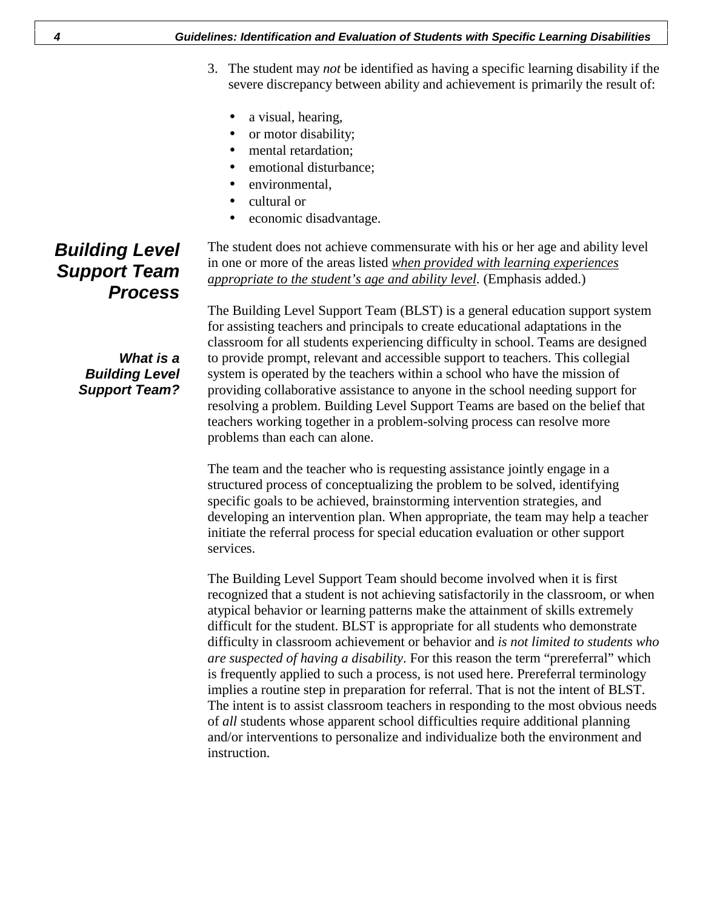- 3. The student may *not* be identified as having a specific learning disability if the severe discrepancy between ability and achievement is primarily the result of:
	- a visual, hearing,
	- or motor disability;
	- mental retardation;
	- emotional disturbance;
	- environmental,
	- cultural or
	- economic disadvantage.

### **Building Level Support Team Process**

**What is a Building Level Support Team?**  The student does not achieve commensurate with his or her age and ability level in one or more of the areas listed *when provided with learning experiences appropriate to the student's age and ability level.* (Emphasis added.)

The Building Level Support Team (BLST) is a general education support system for assisting teachers and principals to create educational adaptations in the classroom for all students experiencing difficulty in school. Teams are designed to provide prompt, relevant and accessible support to teachers. This collegial system is operated by the teachers within a school who have the mission of providing collaborative assistance to anyone in the school needing support for resolving a problem. Building Level Support Teams are based on the belief that teachers working together in a problem-solving process can resolve more problems than each can alone.

The team and the teacher who is requesting assistance jointly engage in a structured process of conceptualizing the problem to be solved, identifying specific goals to be achieved, brainstorming intervention strategies, and developing an intervention plan. When appropriate, the team may help a teacher initiate the referral process for special education evaluation or other support services.

 The Building Level Support Team should become involved when it is first recognized that a student is not achieving satisfactorily in the classroom, or when atypical behavior or learning patterns make the attainment of skills extremely difficult for the student. BLST is appropriate for all students who demonstrate difficulty in classroom achievement or behavior and *is not limited to students who are suspected of having a disability*. For this reason the term "prereferral" which is frequently applied to such a process, is not used here. Prereferral terminology implies a routine step in preparation for referral. That is not the intent of BLST. The intent is to assist classroom teachers in responding to the most obvious needs of *all* students whose apparent school difficulties require additional planning and/or interventions to personalize and individualize both the environment and instruction.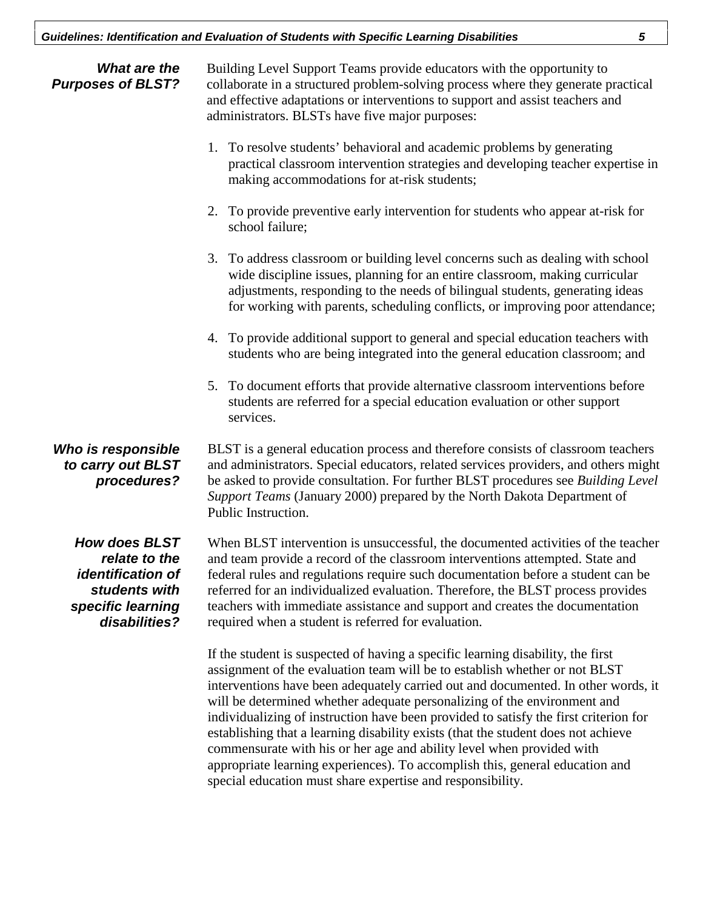| What are the<br><b>Purposes of BLST?</b>                                                                                 | Building Level Support Teams provide educators with the opportunity to<br>collaborate in a structured problem-solving process where they generate practical<br>and effective adaptations or interventions to support and assist teachers and<br>administrators. BLSTs have five major purposes:                                                                                                                                                                                                                                                                                                                                                                                                                                                                                                                                                                                                                                                                             |
|--------------------------------------------------------------------------------------------------------------------------|-----------------------------------------------------------------------------------------------------------------------------------------------------------------------------------------------------------------------------------------------------------------------------------------------------------------------------------------------------------------------------------------------------------------------------------------------------------------------------------------------------------------------------------------------------------------------------------------------------------------------------------------------------------------------------------------------------------------------------------------------------------------------------------------------------------------------------------------------------------------------------------------------------------------------------------------------------------------------------|
|                                                                                                                          | 1. To resolve students' behavioral and academic problems by generating<br>practical classroom intervention strategies and developing teacher expertise in<br>making accommodations for at-risk students;                                                                                                                                                                                                                                                                                                                                                                                                                                                                                                                                                                                                                                                                                                                                                                    |
|                                                                                                                          | 2. To provide preventive early intervention for students who appear at-risk for<br>school failure;                                                                                                                                                                                                                                                                                                                                                                                                                                                                                                                                                                                                                                                                                                                                                                                                                                                                          |
|                                                                                                                          | 3. To address classroom or building level concerns such as dealing with school<br>wide discipline issues, planning for an entire classroom, making curricular<br>adjustments, responding to the needs of bilingual students, generating ideas<br>for working with parents, scheduling conflicts, or improving poor attendance;                                                                                                                                                                                                                                                                                                                                                                                                                                                                                                                                                                                                                                              |
|                                                                                                                          | 4. To provide additional support to general and special education teachers with<br>students who are being integrated into the general education classroom; and                                                                                                                                                                                                                                                                                                                                                                                                                                                                                                                                                                                                                                                                                                                                                                                                              |
|                                                                                                                          | 5. To document efforts that provide alternative classroom interventions before<br>students are referred for a special education evaluation or other support<br>services.                                                                                                                                                                                                                                                                                                                                                                                                                                                                                                                                                                                                                                                                                                                                                                                                    |
| Who is responsible<br>to carry out BLST<br>procedures?                                                                   | BLST is a general education process and therefore consists of classroom teachers<br>and administrators. Special educators, related services providers, and others might<br>be asked to provide consultation. For further BLST procedures see Building Level<br>Support Teams (January 2000) prepared by the North Dakota Department of<br>Public Instruction.                                                                                                                                                                                                                                                                                                                                                                                                                                                                                                                                                                                                               |
| <b>How does BLST</b><br>relate to the<br><i>identification of</i><br>students with<br>specific learning<br>disabilities? | When BLST intervention is unsuccessful, the documented activities of the teacher<br>and team provide a record of the classroom interventions attempted. State and<br>federal rules and regulations require such documentation before a student can be<br>referred for an individualized evaluation. Therefore, the BLST process provides<br>teachers with immediate assistance and support and creates the documentation<br>required when a student is referred for evaluation.                                                                                                                                                                                                                                                                                                                                                                                                                                                                                             |
|                                                                                                                          | If the student is suspected of having a specific learning disability, the first<br>assignment of the evaluation team will be to establish whether or not BLST<br>interventions have been adequately carried out and documented. In other words, it<br>will be determined whether adequate personalizing of the environment and<br>individualizing of instruction have been provided to satisfy the first criterion for<br>establishing that a learning disability exists (that the student does not achieve<br>$\mathbf{1} \cdot \mathbf{1} = \mathbf{1} \cdot \mathbf{1} = \mathbf{1} \cdot \mathbf{1} = \mathbf{1} \cdot \mathbf{1} = \mathbf{1} \cdot \mathbf{1} = \mathbf{1} \cdot \mathbf{1} = \mathbf{1} \cdot \mathbf{1} = \mathbf{1} \cdot \mathbf{1} = \mathbf{1} \cdot \mathbf{1} = \mathbf{1} \cdot \mathbf{1} = \mathbf{1} \cdot \mathbf{1} = \mathbf{1} \cdot \mathbf{1} = \mathbf{1} \cdot \mathbf{1} = \mathbf{1} \cdot \mathbf{1} = \mathbf{1} \cdot \math$ |

commensurate with his or her age and ability level when provided with appropriate learning experiences). To accomplish this, general education and special education must share expertise and responsibility.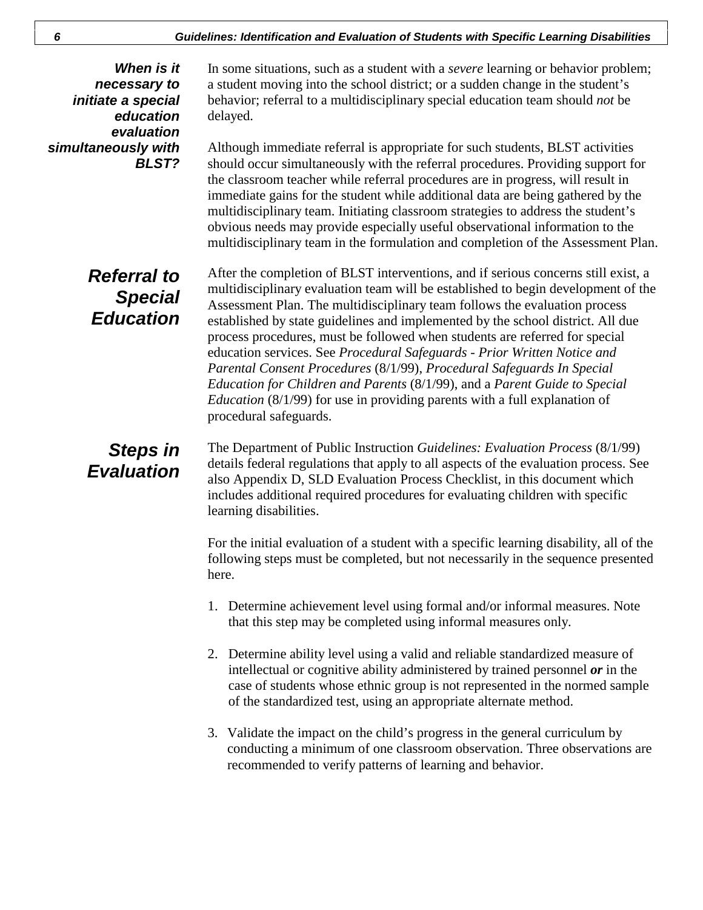**When is it necessary to initiate a special education evaluation simultaneously with BLST?**  In some situations, such as a student with a *severe* learning or behavior problem; a student moving into the school district; or a sudden change in the student's behavior; referral to a multidisciplinary special education team should *not* be delayed.

Although immediate referral is appropriate for such students, BLST activities should occur simultaneously with the referral procedures. Providing support for the classroom teacher while referral procedures are in progress, will result in immediate gains for the student while additional data are being gathered by the multidisciplinary team. Initiating classroom strategies to address the student's obvious needs may provide especially useful observational information to the multidisciplinary team in the formulation and completion of the Assessment Plan.

#### **Referral to Special Education**

 After the completion of BLST interventions, and if serious concerns still exist, a multidisciplinary evaluation team will be established to begin development of the Assessment Plan. The multidisciplinary team follows the evaluation process established by state guidelines and implemented by the school district. All due process procedures, must be followed when students are referred for special education services. See *Procedural Safeguards - Prior Written Notice and Parental Consent Procedures* (8/1/99), *Procedural Safeguards In Special Education for Children and Parents* (8/1/99), and a *Parent Guide to Special Education* (8/1/99) for use in providing parents with a full explanation of procedural safeguards.

#### **Steps in Evaluation**

 The Department of Public Instruction *Guidelines: Evaluation Process* (8/1/99) details federal regulations that apply to all aspects of the evaluation process. See also Appendix D, SLD Evaluation Process Checklist, in this document which includes additional required procedures for evaluating children with specific learning disabilities.

For the initial evaluation of a student with a specific learning disability, all of the following steps must be completed, but not necessarily in the sequence presented here.

- 1. Determine achievement level using formal and/or informal measures. Note that this step may be completed using informal measures only.
- 2. Determine ability level using a valid and reliable standardized measure of intellectual or cognitive ability administered by trained personnel *or* in the case of students whose ethnic group is not represented in the normed sample of the standardized test, using an appropriate alternate method.
- 3. Validate the impact on the child's progress in the general curriculum by conducting a minimum of one classroom observation. Three observations are recommended to verify patterns of learning and behavior.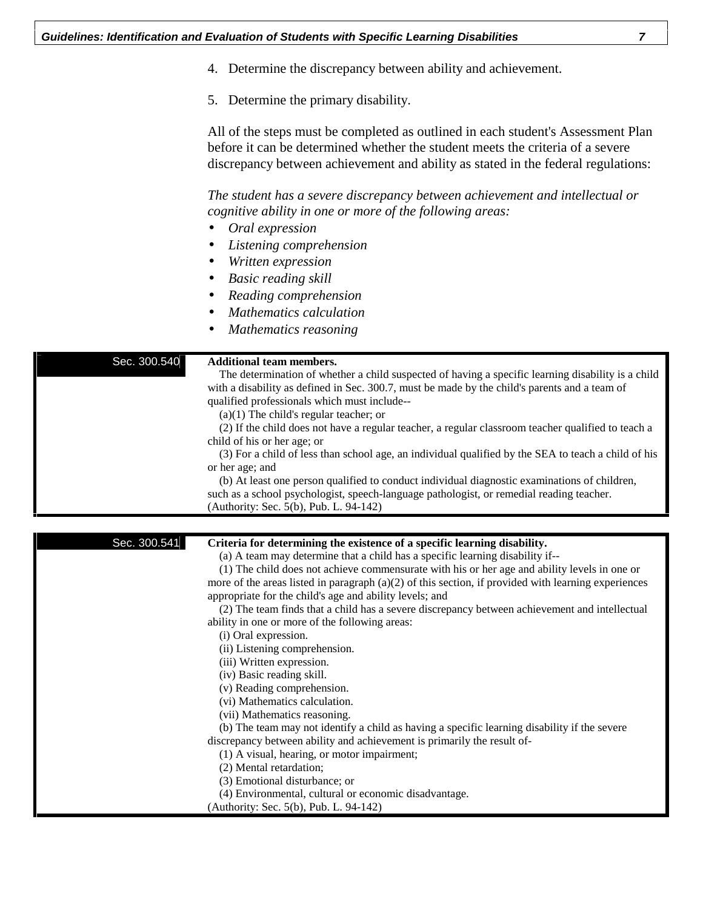4. Determine the discrepancy between ability and achievement. 5. Determine the primary disability. All of the steps must be completed as outlined in each student's Assessment Plan before it can be determined whether the student meets the criteria of a severe discrepancy between achievement and ability as stated in the federal regulations:

*The student has a severe discrepancy between achievement and intellectual or cognitive ability in one or more of the following areas:* 

- *Oral expression*
- *Listening comprehension*
- *Written expression*
- *Basic reading skill*
- *Reading comprehension*
- *Mathematics calculation*
- *Mathematics reasoning*

| Sec. 300.540 | <b>Additional team members.</b>                                                                     |
|--------------|-----------------------------------------------------------------------------------------------------|
|              | The determination of whether a child suspected of having a specific learning disability is a child  |
|              | with a disability as defined in Sec. 300.7, must be made by the child's parents and a team of       |
|              | qualified professionals which must include--                                                        |
|              | $(a)(1)$ The child's regular teacher; or                                                            |
|              | (2) If the child does not have a regular teacher, a regular classroom teacher qualified to teach a  |
|              | child of his or her age; or                                                                         |
|              | (3) For a child of less than school age, an individual qualified by the SEA to teach a child of his |
|              | or her age; and                                                                                     |
|              | (b) At least one person qualified to conduct individual diagnostic examinations of children,        |
|              | such as a school psychologist, speech-language pathologist, or remedial reading teacher.            |
|              | (Authority: Sec. 5(b), Pub. L. 94-142)                                                              |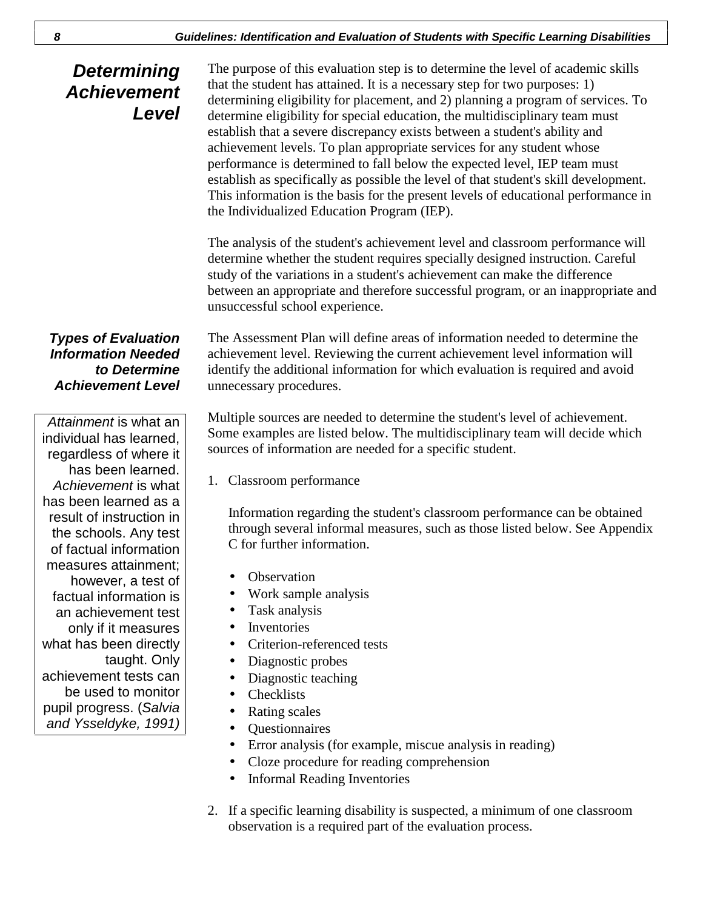### **Determining Achievement Level**

 The purpose of this evaluation step is to determine the level of academic skills that the student has attained. It is a necessary step for two purposes: 1) determining eligibility for placement, and 2) planning a program of services. To determine eligibility for special education, the multidisciplinary team must establish that a severe discrepancy exists between a student's ability and achievement levels. To plan appropriate services for any student whose performance is determined to fall below the expected level, IEP team must establish as specifically as possible the level of that student's skill development. This information is the basis for the present levels of educational performance in the Individualized Education Program (IEP).

 The analysis of the student's achievement level and classroom performance will determine whether the student requires specially designed instruction. Careful study of the variations in a student's achievement can make the difference between an appropriate and therefore successful program, or an inappropriate and unsuccessful school experience.

**Types of Evaluation Information Needed to Determine Achievement Level** 

Attainment is what an individual has learned, regardless of where it has been learned. Achievement is what has been learned as a result of instruction in the schools. Any test of factual information measures attainment; however, a test of factual information is an achievement test only if it measures what has been directly taught. Only achievement tests can be used to monitor pupil progress. (Salvia and Ysseldyke, 1991)  The Assessment Plan will define areas of information needed to determine the achievement level. Reviewing the current achievement level information will identify the additional information for which evaluation is required and avoid unnecessary procedures.

Multiple sources are needed to determine the student's level of achievement. Some examples are listed below. The multidisciplinary team will decide which sources of information are needed for a specific student.

1. Classroom performance

 Information regarding the student's classroom performance can be obtained through several informal measures, such as those listed below. See Appendix C for further information.

- Observation
- Work sample analysis
- Task analysis
- Inventories
- Criterion-referenced tests
- Diagnostic probes
- Diagnostic teaching
- Checklists
- Rating scales
- Questionnaires
- Error analysis (for example, miscue analysis in reading)
- Cloze procedure for reading comprehension
- Informal Reading Inventories
- 2. If a specific learning disability is suspected, a minimum of one classroom observation is a required part of the evaluation process.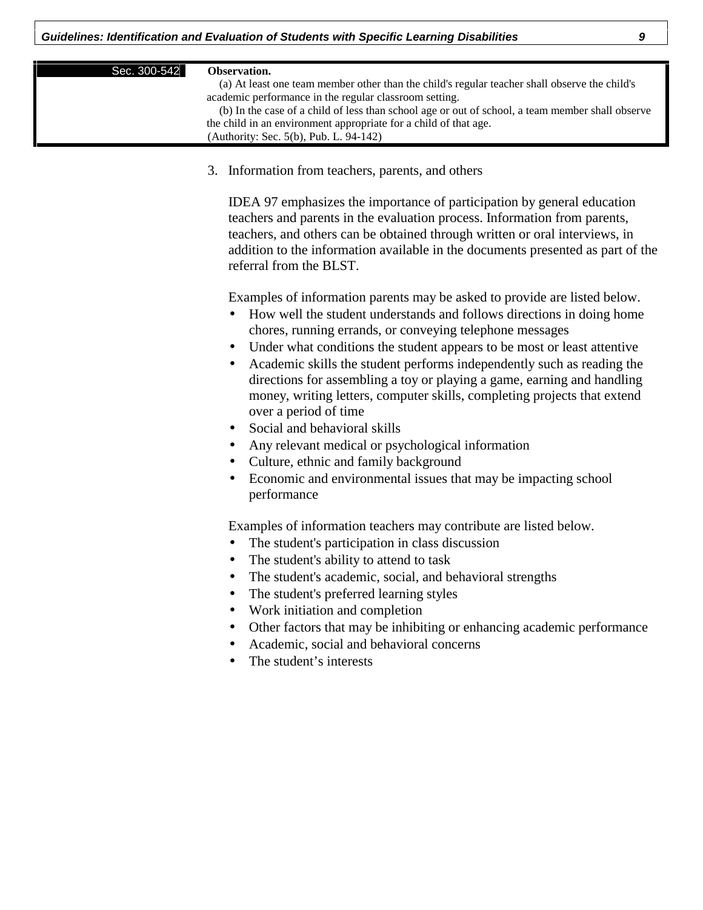| Sec. 300-542 | Observation.                                                                                     |
|--------------|--------------------------------------------------------------------------------------------------|
|              | (a) At least one team member other than the child's regular teacher shall observe the child's    |
|              | academic performance in the regular classroom setting.                                           |
|              | (b) In the case of a child of less than school age or out of school, a team member shall observe |
|              | the child in an environment appropriate for a child of that age.                                 |
|              | (Authority: Sec. 5(b), Pub. L. 94-142)                                                           |

3. Information from teachers, parents, and others

IDEA 97 emphasizes the importance of participation by general education teachers and parents in the evaluation process. Information from parents, teachers, and others can be obtained through written or oral interviews, in addition to the information available in the documents presented as part of the referral from the BLST.

Examples of information parents may be asked to provide are listed below.

- How well the student understands and follows directions in doing home chores, running errands, or conveying telephone messages
- Under what conditions the student appears to be most or least attentive
- Academic skills the student performs independently such as reading the directions for assembling a toy or playing a game, earning and handling money, writing letters, computer skills, completing projects that extend over a period of time
- Social and behavioral skills
- Any relevant medical or psychological information
- Culture, ethnic and family background
- Economic and environmental issues that may be impacting school performance

Examples of information teachers may contribute are listed below.

- The student's participation in class discussion
- The student's ability to attend to task
- The student's academic, social, and behavioral strengths
- The student's preferred learning styles
- Work initiation and completion
- Other factors that may be inhibiting or enhancing academic performance
- Academic, social and behavioral concerns
- The student's interests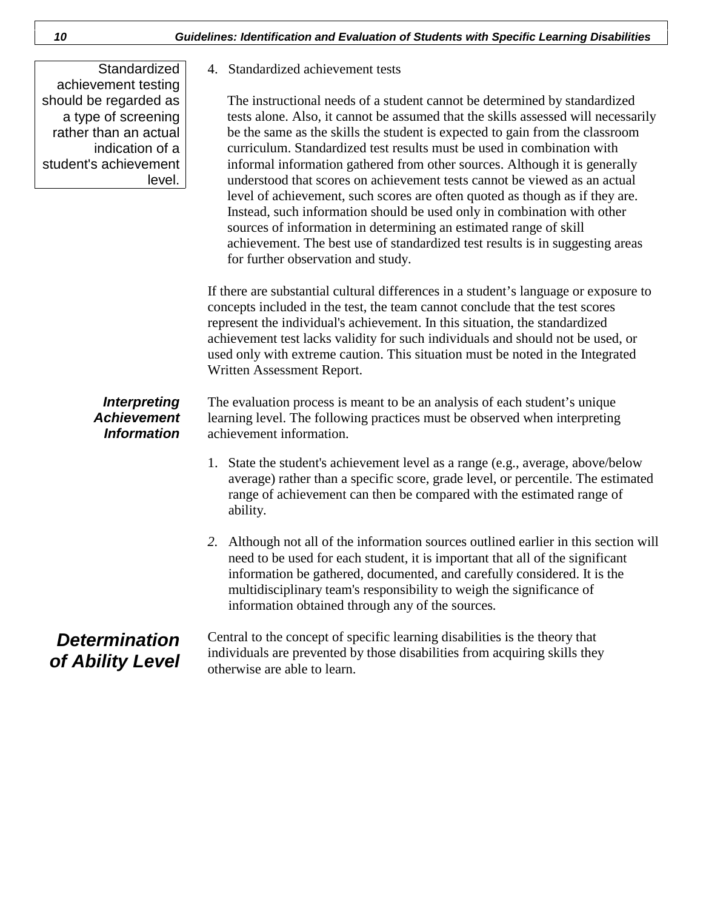| Standardized                                 | 4. Standardized achievement tests                                                                                                                              |
|----------------------------------------------|----------------------------------------------------------------------------------------------------------------------------------------------------------------|
| achievement testing                          |                                                                                                                                                                |
| should be regarded as<br>a type of screening | The instructional needs of a student cannot be determined by standardized<br>tests alone. Also, it cannot be assumed that the skills assessed will necessarily |
| rather than an actual                        | be the same as the skills the student is expected to gain from the classroom                                                                                   |
| indication of a                              | curriculum. Standardized test results must be used in combination with                                                                                         |
| student's achievement                        | informal information gathered from other sources. Although it is generally                                                                                     |
| level.                                       | understood that scores on achievement tests cannot be viewed as an actual                                                                                      |
|                                              | level of achievement, such scores are often quoted as though as if they are.<br>Instead, such information should be used only in combination with other        |
|                                              | sources of information in determining an estimated range of skill                                                                                              |
|                                              | achievement. The best use of standardized test results is in suggesting areas                                                                                  |
|                                              | for further observation and study.                                                                                                                             |
|                                              | If there are substantial cultural differences in a student's language or exposure to                                                                           |
|                                              | concepts included in the test, the team cannot conclude that the test scores                                                                                   |
|                                              | represent the individual's achievement. In this situation, the standardized<br>achievement test lacks validity for such individuals and should not be used, or |
|                                              | used only with extreme caution. This situation must be noted in the Integrated                                                                                 |
|                                              | Written Assessment Report.                                                                                                                                     |
| <b>Interpreting</b>                          | The evaluation process is meant to be an analysis of each student's unique                                                                                     |
| <b>Achievement</b>                           | learning level. The following practices must be observed when interpreting                                                                                     |
| <b>Information</b>                           | achievement information.                                                                                                                                       |
|                                              | 1. State the student's achievement level as a range (e.g., average, above/below                                                                                |
|                                              | average) rather than a specific score, grade level, or percentile. The estimated                                                                               |
|                                              | range of achievement can then be compared with the estimated range of<br>ability.                                                                              |
|                                              |                                                                                                                                                                |
|                                              | 2. Although not all of the information sources outlined earlier in this section will                                                                           |
|                                              | need to be used for each student, it is important that all of the significant<br>information be gathered, documented, and carefully considered. It is the      |
|                                              | multidisciplinary team's responsibility to weigh the significance of                                                                                           |
|                                              | information obtained through any of the sources.                                                                                                               |
| <b>Determination</b>                         | Central to the concept of specific learning disabilities is the theory that                                                                                    |
| of Ability Level                             | individuals are prevented by those disabilities from acquiring skills they                                                                                     |
|                                              | otherwise are able to learn.                                                                                                                                   |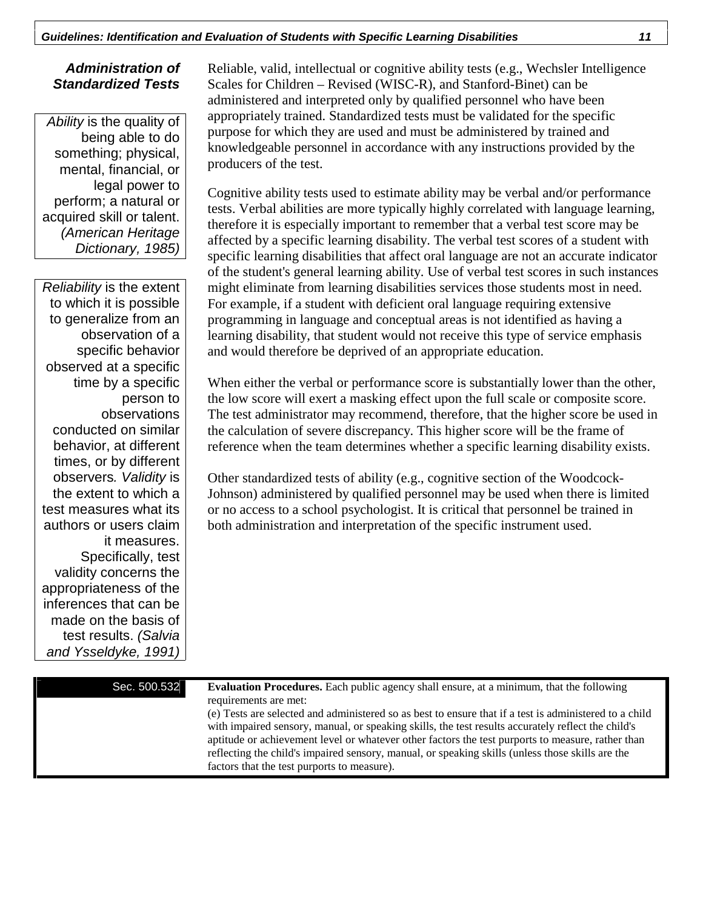#### **Administration of Standardized Tests**

Ability is the quality of being able to do something; physical, mental, financial, or legal power to perform; a natural or acquired skill or talent. (American Heritage Dictionary, 1985)

Reliability is the extent to which it is possible to generalize from an observation of a specific behavior observed at a specific time by a specific person to observations conducted on similar behavior, at different times, or by different observers. Validity is the extent to which a test measures what its authors or users claim it measures. Specifically, test validity concerns the appropriateness of the inferences that can be made on the basis of test results. (Salvia and Ysseldyke, 1991)  Reliable, valid, intellectual or cognitive ability tests (e.g., Wechsler Intelligence Scales for Children – Revised (WISC-R), and Stanford-Binet) can be administered and interpreted only by qualified personnel who have been appropriately trained. Standardized tests must be validated for the specific purpose for which they are used and must be administered by trained and knowledgeable personnel in accordance with any instructions provided by the producers of the test.

Cognitive ability tests used to estimate ability may be verbal and/or performance tests. Verbal abilities are more typically highly correlated with language learning, therefore it is especially important to remember that a verbal test score may be affected by a specific learning disability. The verbal test scores of a student with specific learning disabilities that affect oral language are not an accurate indicator of the student's general learning ability. Use of verbal test scores in such instances might eliminate from learning disabilities services those students most in need. For example, if a student with deficient oral language requiring extensive programming in language and conceptual areas is not identified as having a learning disability, that student would not receive this type of service emphasis and would therefore be deprived of an appropriate education.

When either the verbal or performance score is substantially lower than the other, the low score will exert a masking effect upon the full scale or composite score. The test administrator may recommend, therefore, that the higher score be used in the calculation of severe discrepancy. This higher score will be the frame of reference when the team determines whether a specific learning disability exists.

Other standardized tests of ability (e.g., cognitive section of the Woodcock-Johnson) administered by qualified personnel may be used when there is limited or no access to a school psychologist. It is critical that personnel be trained in both administration and interpretation of the specific instrument used.

| Sec. 500.532 | <b>Evaluation Procedures.</b> Each public agency shall ensure, at a minimum, that the following        |
|--------------|--------------------------------------------------------------------------------------------------------|
|              | requirements are met:                                                                                  |
|              | (e) Tests are selected and administered so as best to ensure that if a test is administered to a child |
|              | with impaired sensory, manual, or speaking skills, the test results accurately reflect the child's     |
|              | aptitude or achievement level or whatever other factors the test purports to measure, rather than      |
|              | reflecting the child's impaired sensory, manual, or speaking skills (unless those skills are the       |
|              | factors that the test purports to measure).                                                            |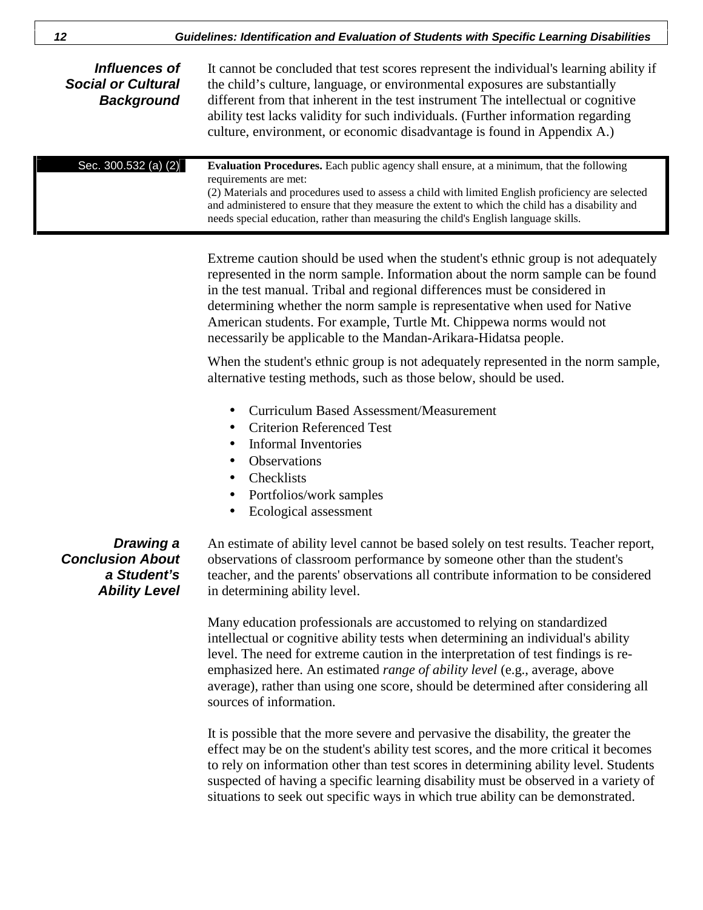| Influences of<br><b>Social or Cultural</b><br><b>Background</b> | It cannot be concluded that test scores represent the individual's learning ability if<br>the child's culture, language, or environmental exposures are substantially<br>different from that inherent in the test instrument The intellectual or cognitive<br>ability test lacks validity for such individuals. (Further information regarding<br>culture, environment, or economic disadvantage is found in Appendix A.) |
|-----------------------------------------------------------------|---------------------------------------------------------------------------------------------------------------------------------------------------------------------------------------------------------------------------------------------------------------------------------------------------------------------------------------------------------------------------------------------------------------------------|
| Sec. 300.532 (a) (2)                                            | <b>Evaluation Procedures.</b> Each public agency shall ensure, at a minimum, that the following<br>requirements are met:<br>(2) Materials and procedures used to assess a child with limited English proficiency are selected<br>and administered to ensure that they measure the extent to which the child has a disability and<br>needs special education, rather than measuring the child's English language skills.   |

 Extreme caution should be used when the student's ethnic group is not adequately represented in the norm sample. Information about the norm sample can be found in the test manual. Tribal and regional differences must be considered in determining whether the norm sample is representative when used for Native American students. For example, Turtle Mt. Chippewa norms would not necessarily be applicable to the Mandan-Arikara-Hidatsa people.

 When the student's ethnic group is not adequately represented in the norm sample, alternative testing methods, such as those below, should be used.

- Curriculum Based Assessment/Measurement
- Criterion Referenced Test
- Informal Inventories
- Observations
- Checklists
- Portfolios/work samples
- Ecological assessment

**Drawing a Conclusion About a Student's Ability Level**

 An estimate of ability level cannot be based solely on test results. Teacher report, observations of classroom performance by someone other than the student's teacher, and the parents' observations all contribute information to be considered in determining ability level.

Many education professionals are accustomed to relying on standardized intellectual or cognitive ability tests when determining an individual's ability level. The need for extreme caution in the interpretation of test findings is reemphasized here. An estimated *range of ability level* (e.g., average, above average), rather than using one score, should be determined after considering all sources of information.

It is possible that the more severe and pervasive the disability, the greater the effect may be on the student's ability test scores, and the more critical it becomes to rely on information other than test scores in determining ability level. Students suspected of having a specific learning disability must be observed in a variety of situations to seek out specific ways in which true ability can be demonstrated.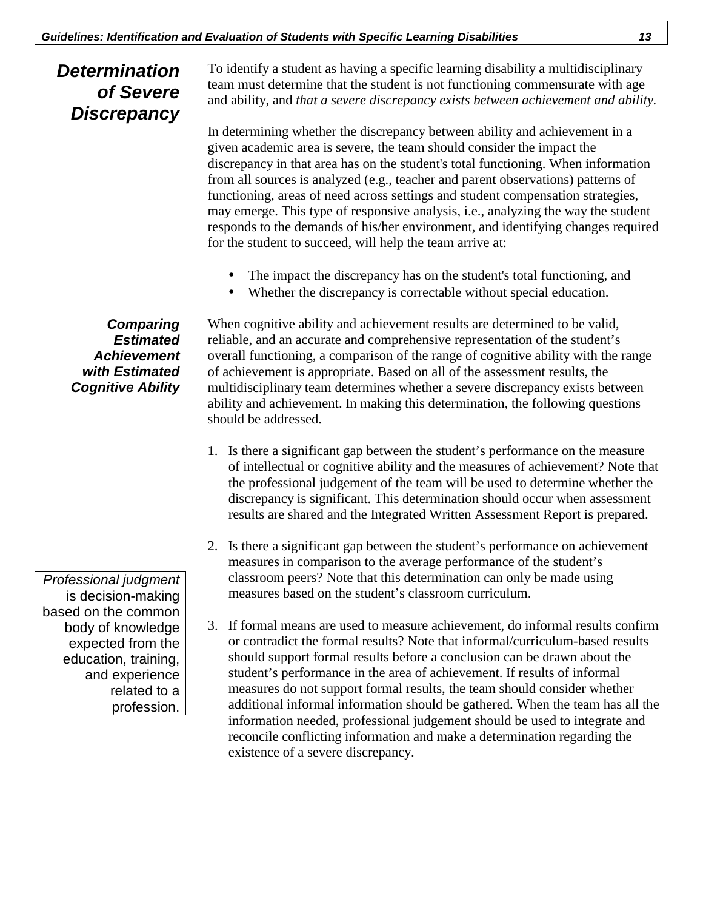#### **Determination of Severe Discrepancy**

 To identify a student as having a specific learning disability a multidisciplinary team must determine that the student is not functioning commensurate with age and ability, and *that a severe discrepancy exists between achievement and ability.*

In determining whether the discrepancy between ability and achievement in a given academic area is severe, the team should consider the impact the discrepancy in that area has on the student's total functioning. When information from all sources is analyzed (e.g., teacher and parent observations) patterns of functioning, areas of need across settings and student compensation strategies, may emerge. This type of responsive analysis, i.e., analyzing the way the student responds to the demands of his/her environment, and identifying changes required for the student to succeed, will help the team arrive at:

- The impact the discrepancy has on the student's total functioning, and
- Whether the discrepancy is correctable without special education.

 When cognitive ability and achievement results are determined to be valid, reliable, and an accurate and comprehensive representation of the student's overall functioning, a comparison of the range of cognitive ability with the range of achievement is appropriate. Based on all of the assessment results, the multidisciplinary team determines whether a severe discrepancy exists between ability and achievement. In making this determination, the following questions should be addressed.

- 1. Is there a significant gap between the student's performance on the measure of intellectual or cognitive ability and the measures of achievement? Note that the professional judgement of the team will be used to determine whether the discrepancy is significant. This determination should occur when assessment results are shared and the Integrated Written Assessment Report is prepared.
- 2. Is there a significant gap between the student's performance on achievement measures in comparison to the average performance of the student's classroom peers? Note that this determination can only be made using measures based on the student's classroom curriculum.
- 3. If formal means are used to measure achievement, do informal results confirm or contradict the formal results? Note that informal/curriculum-based results should support formal results before a conclusion can be drawn about the student's performance in the area of achievement. If results of informal measures do not support formal results, the team should consider whether additional informal information should be gathered. When the team has all the information needed, professional judgement should be used to integrate and reconcile conflicting information and make a determination regarding the existence of a severe discrepancy.

**Estimated Achievement with Estimated Cognitive Ability** 

**Comparing** 

Professional judgment is decision-making based on the common body of knowledge expected from the education, training, and experience related to a profession.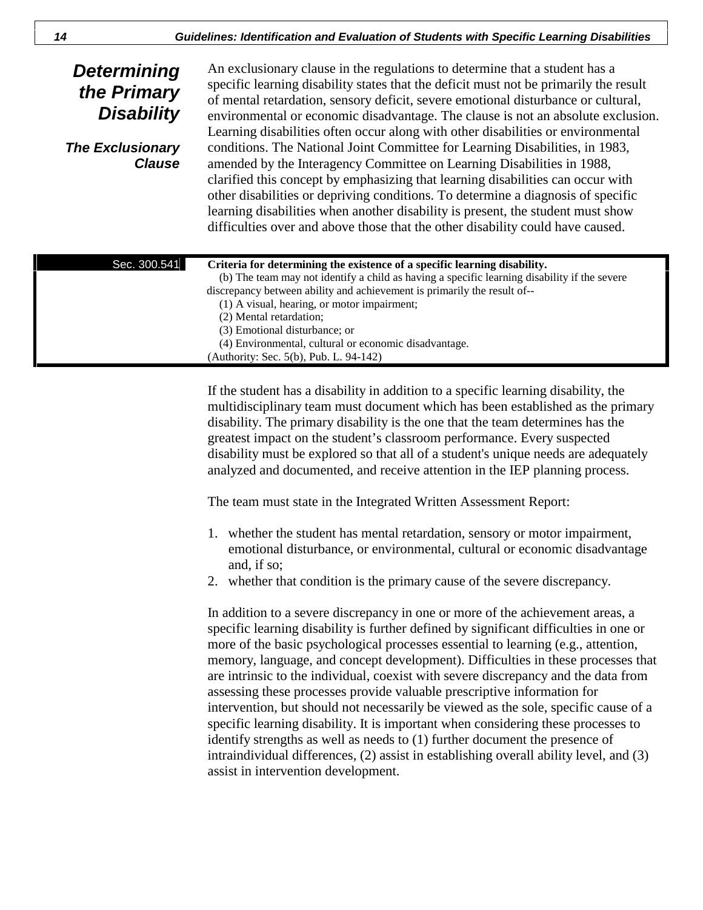| <b>Determining</b><br>the Primary<br><b>Disability</b><br><b>The Exclusionary</b><br><b>Clause</b> | An exclusionary clause in the regulations to determine that a student has a<br>specific learning disability states that the deficit must not be primarily the result<br>of mental retardation, sensory deficit, severe emotional disturbance or cultural,<br>environmental or economic disadvantage. The clause is not an absolute exclusion.<br>Learning disabilities often occur along with other disabilities or environmental<br>conditions. The National Joint Committee for Learning Disabilities, in 1983,<br>amended by the Interagency Committee on Learning Disabilities in 1988, |
|----------------------------------------------------------------------------------------------------|---------------------------------------------------------------------------------------------------------------------------------------------------------------------------------------------------------------------------------------------------------------------------------------------------------------------------------------------------------------------------------------------------------------------------------------------------------------------------------------------------------------------------------------------------------------------------------------------|
|                                                                                                    | clarified this concept by emphasizing that learning disabilities can occur with<br>other disabilities or depriving conditions. To determine a diagnosis of specific<br>learning disabilities when another disability is present, the student must show<br>difficulties over and above those that the other disability could have caused.                                                                                                                                                                                                                                                    |
| Sec. 300.541                                                                                       | Criteria for determining the existence of a specific learning disability.<br>(b) The team may not identify a child as having a specific learning disability if the severe<br>discrepancy between ability and achievement is primarily the result of--<br>(1) A visual, hearing, or motor impairment;<br>(2) Mental retardation;<br>(3) Emotional disturbance; or<br>(4) Environmental, cultural or economic disadvantage.<br>(Authority: Sec. 5(b), Pub. L. 94-142)                                                                                                                         |
|                                                                                                    | If the student has a displicity in addition to a specific loarning displicity the                                                                                                                                                                                                                                                                                                                                                                                                                                                                                                           |

 If the student has a disability in addition to a specific learning disability, the multidisciplinary team must document which has been established as the primary disability. The primary disability is the one that the team determines has the greatest impact on the student's classroom performance. Every suspected disability must be explored so that all of a student's unique needs are adequately analyzed and documented, and receive attention in the IEP planning process.

The team must state in the Integrated Written Assessment Report:

- 1. whether the student has mental retardation, sensory or motor impairment, emotional disturbance, or environmental, cultural or economic disadvantage and, if so;
- 2. whether that condition is the primary cause of the severe discrepancy.

 In addition to a severe discrepancy in one or more of the achievement areas, a specific learning disability is further defined by significant difficulties in one or more of the basic psychological processes essential to learning (e.g., attention, memory, language, and concept development). Difficulties in these processes that are intrinsic to the individual, coexist with severe discrepancy and the data from assessing these processes provide valuable prescriptive information for intervention, but should not necessarily be viewed as the sole, specific cause of a specific learning disability. It is important when considering these processes to identify strengths as well as needs to (1) further document the presence of intraindividual differences, (2) assist in establishing overall ability level, and (3) assist in intervention development.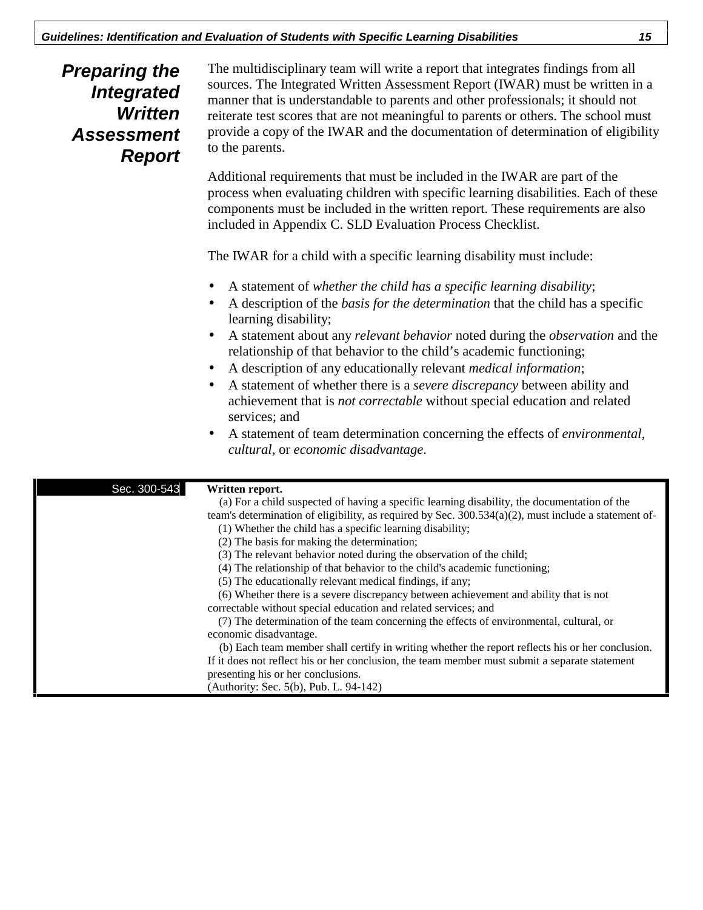#### **Preparing the Integrated Written Assessment Report**

 The multidisciplinary team will write a report that integrates findings from all sources. The Integrated Written Assessment Report (IWAR) must be written in a manner that is understandable to parents and other professionals; it should not reiterate test scores that are not meaningful to parents or others. The school must provide a copy of the IWAR and the documentation of determination of eligibility to the parents.

Additional requirements that must be included in the IWAR are part of the process when evaluating children with specific learning disabilities. Each of these components must be included in the written report. These requirements are also included in Appendix C. SLD Evaluation Process Checklist.

The IWAR for a child with a specific learning disability must include:

- A statement of *whether the child has a specific learning disability*;
- A description of the *basis for the determination* that the child has a specific learning disability;
- A statement about any *relevant behavior* noted during the *observation* and the relationship of that behavior to the child's academic functioning;
- A description of any educationally relevant *medical information*;
- A statement of whether there is a *severe discrepancy* between ability and achievement that is *not correctable* without special education and related services; and
- A statement of team determination concerning the effects of *environmental, cultural,* or *economic disadvantage*.

| Sec. 300-543 | Written report.                                                                                         |
|--------------|---------------------------------------------------------------------------------------------------------|
|              | (a) For a child suspected of having a specific learning disability, the documentation of the            |
|              | team's determination of eligibility, as required by Sec. $300.534(a)(2)$ , must include a statement of- |
|              | (1) Whether the child has a specific learning disability;                                               |
|              | (2) The basis for making the determination;                                                             |
|              | (3) The relevant behavior noted during the observation of the child;                                    |
|              | (4) The relationship of that behavior to the child's academic functioning;                              |
|              | (5) The educationally relevant medical findings, if any;                                                |
|              | (6) Whether there is a severe discrepancy between achievement and ability that is not                   |
|              | correctable without special education and related services; and                                         |
|              | (7) The determination of the team concerning the effects of environmental, cultural, or                 |
|              | economic disadvantage.                                                                                  |
|              | (b) Each team member shall certify in writing whether the report reflects his or her conclusion.        |
|              | If it does not reflect his or her conclusion, the team member must submit a separate statement          |
|              | presenting his or her conclusions.                                                                      |
|              | (Authority: Sec. 5(b), Pub. L. 94-142)                                                                  |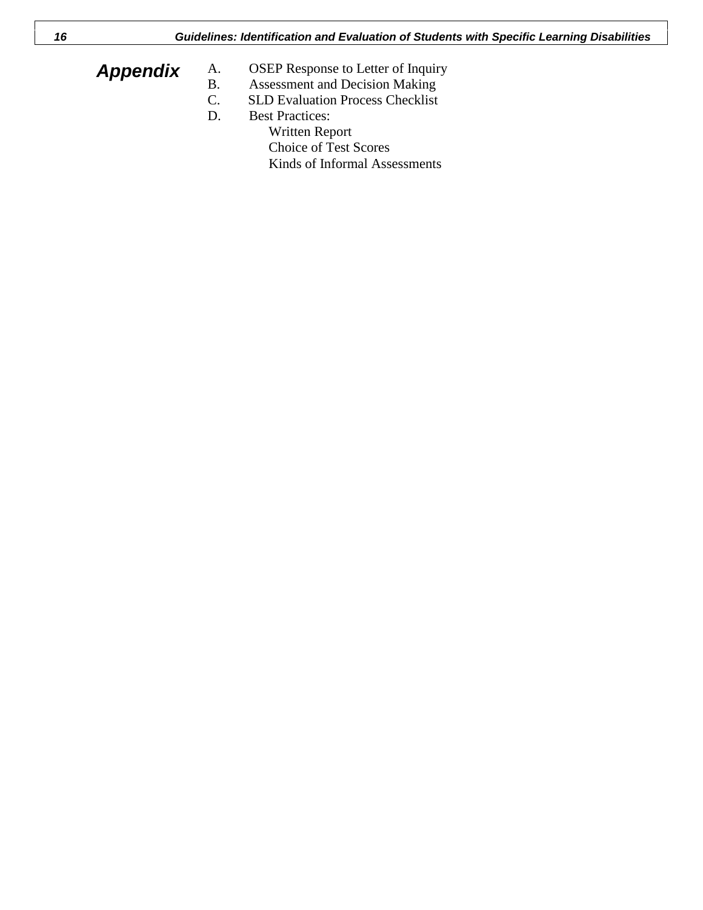- 
- **Appendix** A. OSEP Response to Letter of Inquiry<br>B. Assessment and Decision Making Assessment and Decision Making
	- C. SLD Evaluation Process Checklist
	- D. Best Practices:
		- Written Report Choice of Test Scores Kinds of Informal Assessments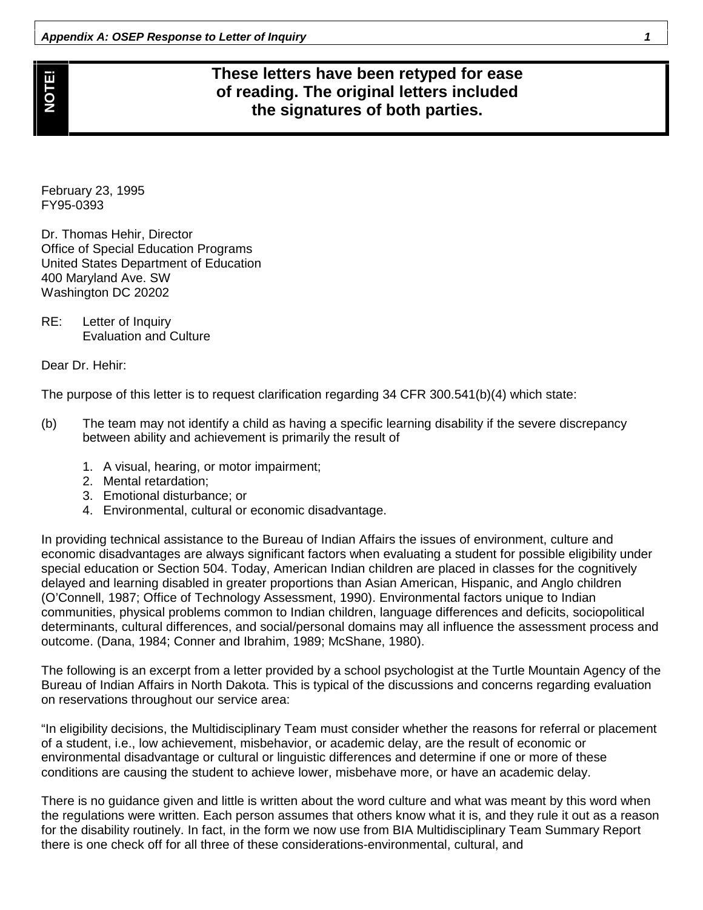# **NOTE!**

#### **These letters have been retyped for ease of reading. The original letters included the signatures of both parties.**

February 23, 1995 FY95-0393

Dr. Thomas Hehir, Director Office of Special Education Programs United States Department of Education 400 Maryland Ave. SW Washington DC 20202

RE: Letter of Inquiry Evaluation and Culture

Dear Dr. Hehir:

The purpose of this letter is to request clarification regarding 34 CFR 300.541(b)(4) which state:

- (b) The team may not identify a child as having a specific learning disability if the severe discrepancy between ability and achievement is primarily the result of
	- 1. A visual, hearing, or motor impairment;
	- 2. Mental retardation;
	- 3. Emotional disturbance; or
	- 4. Environmental, cultural or economic disadvantage.

In providing technical assistance to the Bureau of Indian Affairs the issues of environment, culture and economic disadvantages are always significant factors when evaluating a student for possible eligibility under special education or Section 504. Today, American Indian children are placed in classes for the cognitively delayed and learning disabled in greater proportions than Asian American, Hispanic, and Anglo children (O'Connell, 1987; Office of Technology Assessment, 1990). Environmental factors unique to Indian communities, physical problems common to Indian children, language differences and deficits, sociopolitical determinants, cultural differences, and social/personal domains may all influence the assessment process and outcome. (Dana, 1984; Conner and Ibrahim, 1989; McShane, 1980).

The following is an excerpt from a letter provided by a school psychologist at the Turtle Mountain Agency of the Bureau of Indian Affairs in North Dakota. This is typical of the discussions and concerns regarding evaluation on reservations throughout our service area:

"In eligibility decisions, the Multidisciplinary Team must consider whether the reasons for referral or placement of a student, i.e., low achievement, misbehavior, or academic delay, are the result of economic or environmental disadvantage or cultural or linguistic differences and determine if one or more of these conditions are causing the student to achieve lower, misbehave more, or have an academic delay.

There is no guidance given and little is written about the word culture and what was meant by this word when the regulations were written. Each person assumes that others know what it is, and they rule it out as a reason for the disability routinely. In fact, in the form we now use from BIA Multidisciplinary Team Summary Report there is one check off for all three of these considerations-environmental, cultural, and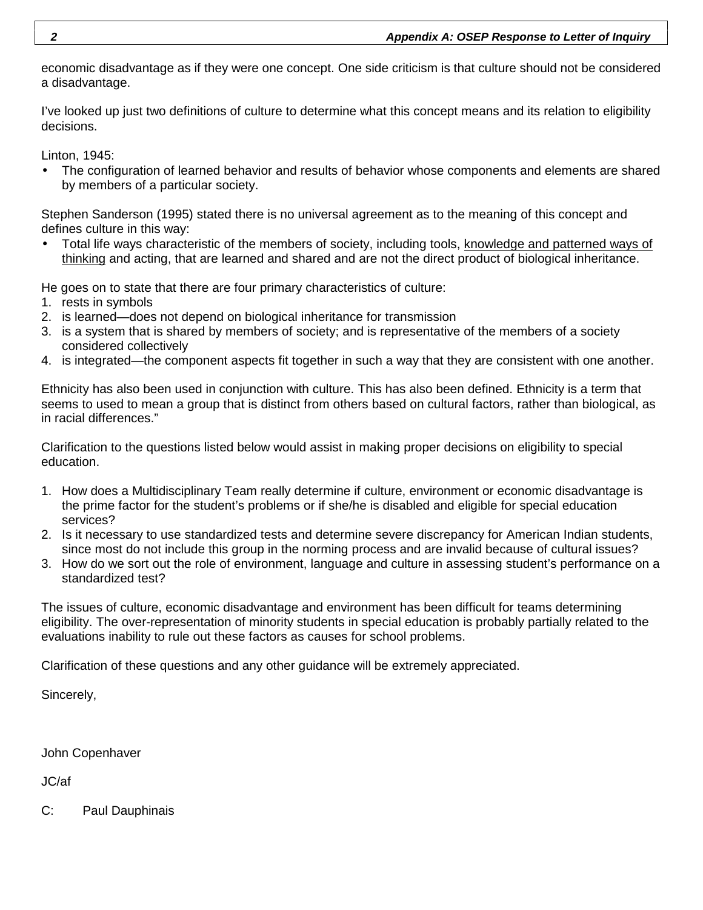economic disadvantage as if they were one concept. One side criticism is that culture should not be considered a disadvantage.

I've looked up just two definitions of culture to determine what this concept means and its relation to eligibility decisions.

Linton, 1945:

• The configuration of learned behavior and results of behavior whose components and elements are shared by members of a particular society.

Stephen Sanderson (1995) stated there is no universal agreement as to the meaning of this concept and defines culture in this way:

• Total life ways characteristic of the members of society, including tools, knowledge and patterned ways of thinking and acting, that are learned and shared and are not the direct product of biological inheritance.

He goes on to state that there are four primary characteristics of culture:

- 1. rests in symbols
- 2. is learned—does not depend on biological inheritance for transmission
- 3. is a system that is shared by members of society; and is representative of the members of a society considered collectively
- 4. is integrated—the component aspects fit together in such a way that they are consistent with one another.

Ethnicity has also been used in conjunction with culture. This has also been defined. Ethnicity is a term that seems to used to mean a group that is distinct from others based on cultural factors, rather than biological, as in racial differences."

Clarification to the questions listed below would assist in making proper decisions on eligibility to special education.

- 1. How does a Multidisciplinary Team really determine if culture, environment or economic disadvantage is the prime factor for the student's problems or if she/he is disabled and eligible for special education services?
- 2. Is it necessary to use standardized tests and determine severe discrepancy for American Indian students, since most do not include this group in the norming process and are invalid because of cultural issues?
- 3. How do we sort out the role of environment, language and culture in assessing student's performance on a standardized test?

The issues of culture, economic disadvantage and environment has been difficult for teams determining eligibility. The over-representation of minority students in special education is probably partially related to the evaluations inability to rule out these factors as causes for school problems.

Clarification of these questions and any other guidance will be extremely appreciated.

Sincerely,

John Copenhaver

JC/af

C: Paul Dauphinais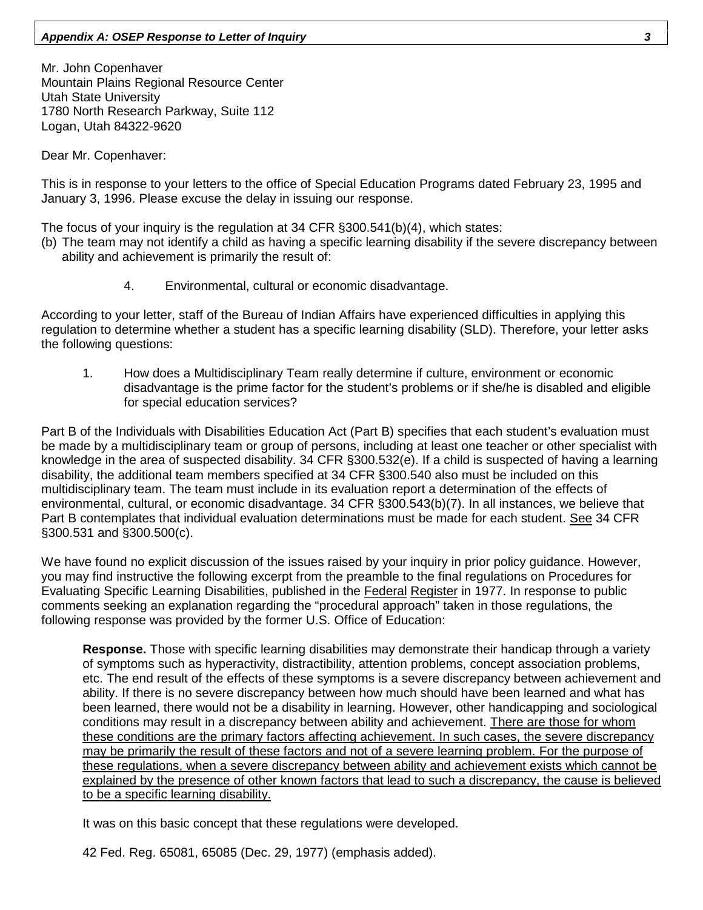#### **Appendix A: OSEP Response to Letter of Inquiry 3**

Mr. John Copenhaver Mountain Plains Regional Resource Center Utah State University 1780 North Research Parkway, Suite 112 Logan, Utah 84322-9620

Dear Mr. Copenhaver:

This is in response to your letters to the office of Special Education Programs dated February 23, 1995 and January 3, 1996. Please excuse the delay in issuing our response.

The focus of your inquiry is the regulation at 34 CFR §300.541(b)(4), which states:

- (b) The team may not identify a child as having a specific learning disability if the severe discrepancy between ability and achievement is primarily the result of:
	- 4. Environmental, cultural or economic disadvantage.

According to your letter, staff of the Bureau of Indian Affairs have experienced difficulties in applying this regulation to determine whether a student has a specific learning disability (SLD). Therefore, your letter asks the following questions:

1. How does a Multidisciplinary Team really determine if culture, environment or economic disadvantage is the prime factor for the student's problems or if she/he is disabled and eligible for special education services?

Part B of the Individuals with Disabilities Education Act (Part B) specifies that each student's evaluation must be made by a multidisciplinary team or group of persons, including at least one teacher or other specialist with knowledge in the area of suspected disability. 34 CFR §300.532(e). If a child is suspected of having a learning disability, the additional team members specified at 34 CFR §300.540 also must be included on this multidisciplinary team. The team must include in its evaluation report a determination of the effects of environmental, cultural, or economic disadvantage. 34 CFR §300.543(b)(7). In all instances, we believe that Part B contemplates that individual evaluation determinations must be made for each student. See 34 CFR §300.531 and §300.500(c).

We have found no explicit discussion of the issues raised by your inquiry in prior policy guidance. However, you may find instructive the following excerpt from the preamble to the final regulations on Procedures for Evaluating Specific Learning Disabilities, published in the Federal Register in 1977. In response to public comments seeking an explanation regarding the "procedural approach" taken in those regulations, the following response was provided by the former U.S. Office of Education:

**Response.** Those with specific learning disabilities may demonstrate their handicap through a variety of symptoms such as hyperactivity, distractibility, attention problems, concept association problems, etc. The end result of the effects of these symptoms is a severe discrepancy between achievement and ability. If there is no severe discrepancy between how much should have been learned and what has been learned, there would not be a disability in learning. However, other handicapping and sociological conditions may result in a discrepancy between ability and achievement. There are those for whom these conditions are the primary factors affecting achievement. In such cases, the severe discrepancy may be primarily the result of these factors and not of a severe learning problem. For the purpose of these regulations, when a severe discrepancy between ability and achievement exists which cannot be explained by the presence of other known factors that lead to such a discrepancy, the cause is believed to be a specific learning disability.

It was on this basic concept that these regulations were developed.

42 Fed. Reg. 65081, 65085 (Dec. 29, 1977) (emphasis added).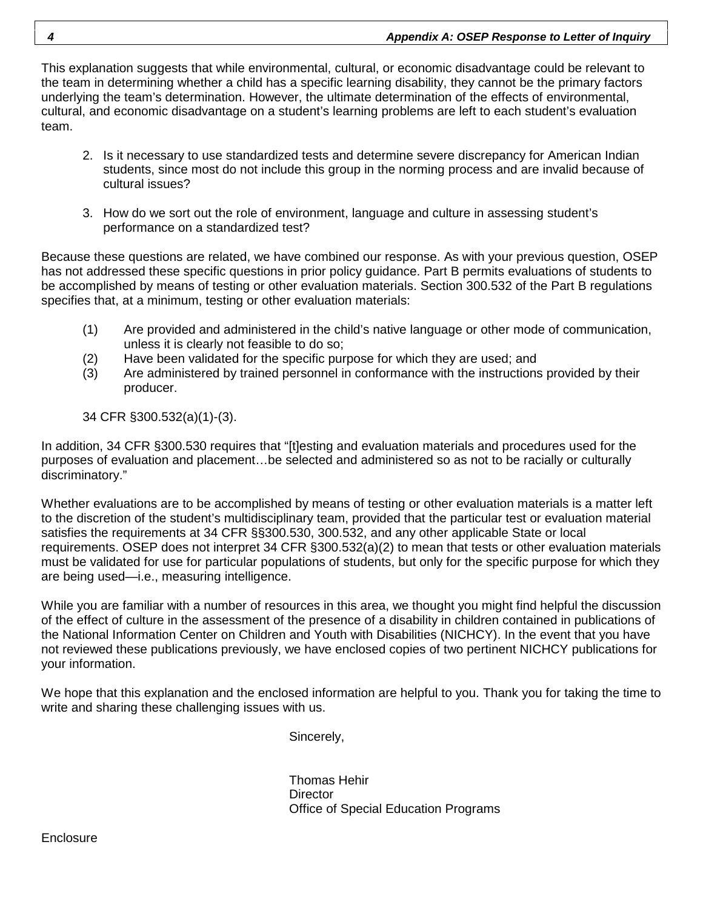This explanation suggests that while environmental, cultural, or economic disadvantage could be relevant to the team in determining whether a child has a specific learning disability, they cannot be the primary factors underlying the team's determination. However, the ultimate determination of the effects of environmental, cultural, and economic disadvantage on a student's learning problems are left to each student's evaluation team.

- 2. Is it necessary to use standardized tests and determine severe discrepancy for American Indian students, since most do not include this group in the norming process and are invalid because of cultural issues?
- 3. How do we sort out the role of environment, language and culture in assessing student's performance on a standardized test?

Because these questions are related, we have combined our response. As with your previous question, OSEP has not addressed these specific questions in prior policy guidance. Part B permits evaluations of students to be accomplished by means of testing or other evaluation materials. Section 300.532 of the Part B regulations specifies that, at a minimum, testing or other evaluation materials:

- (1) Are provided and administered in the child's native language or other mode of communication, unless it is clearly not feasible to do so;
- (2) Have been validated for the specific purpose for which they are used; and
- (3) Are administered by trained personnel in conformance with the instructions provided by their producer.

34 CFR §300.532(a)(1)-(3).

In addition, 34 CFR §300.530 requires that "[t]esting and evaluation materials and procedures used for the purposes of evaluation and placement…be selected and administered so as not to be racially or culturally discriminatory."

Whether evaluations are to be accomplished by means of testing or other evaluation materials is a matter left to the discretion of the student's multidisciplinary team, provided that the particular test or evaluation material satisfies the requirements at 34 CFR §§300.530, 300.532, and any other applicable State or local requirements. OSEP does not interpret 34 CFR §300.532(a)(2) to mean that tests or other evaluation materials must be validated for use for particular populations of students, but only for the specific purpose for which they are being used—i.e., measuring intelligence.

While you are familiar with a number of resources in this area, we thought you might find helpful the discussion of the effect of culture in the assessment of the presence of a disability in children contained in publications of the National Information Center on Children and Youth with Disabilities (NICHCY). In the event that you have not reviewed these publications previously, we have enclosed copies of two pertinent NICHCY publications for your information.

We hope that this explanation and the enclosed information are helpful to you. Thank you for taking the time to write and sharing these challenging issues with us.

Sincerely,

 Thomas Hehir **Director** Office of Special Education Programs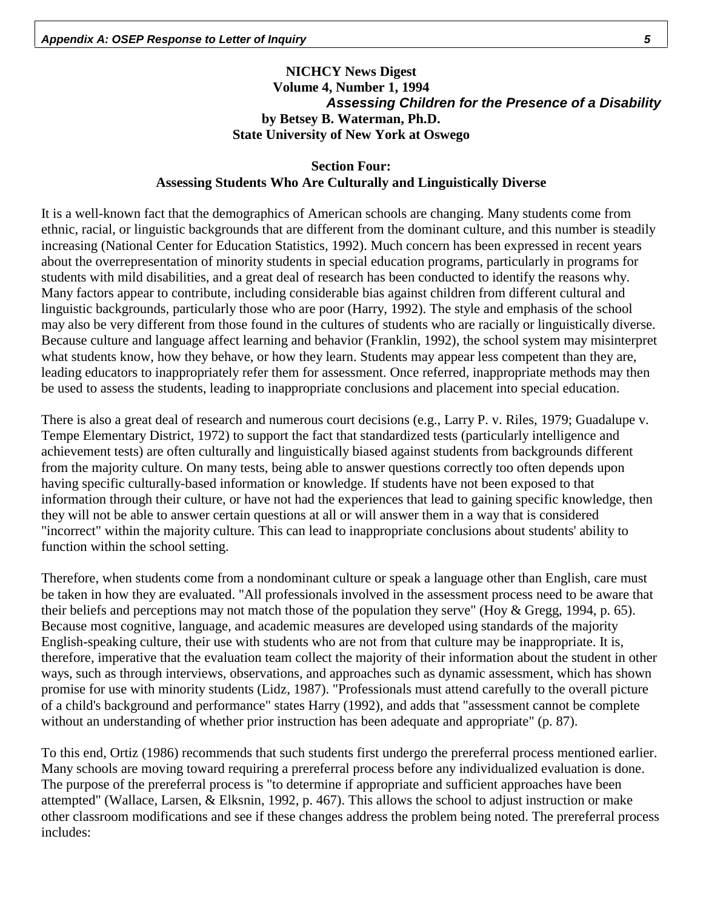#### **NICHCY News Digest Volume 4, Number 1, 1994 Assessing Children for the Presence of a Disability by Betsey B. Waterman, Ph.D. State University of New York at Oswego**

#### **Section Four: Assessing Students Who Are Culturally and Linguistically Diverse**

It is a well-known fact that the demographics of American schools are changing. Many students come from ethnic, racial, or linguistic backgrounds that are different from the dominant culture, and this number is steadily increasing (National Center for Education Statistics, 1992). Much concern has been expressed in recent years about the overrepresentation of minority students in special education programs, particularly in programs for students with mild disabilities, and a great deal of research has been conducted to identify the reasons why. Many factors appear to contribute, including considerable bias against children from different cultural and linguistic backgrounds, particularly those who are poor (Harry, 1992). The style and emphasis of the school may also be very different from those found in the cultures of students who are racially or linguistically diverse. Because culture and language affect learning and behavior (Franklin, 1992), the school system may misinterpret what students know, how they behave, or how they learn. Students may appear less competent than they are, leading educators to inappropriately refer them for assessment. Once referred, inappropriate methods may then be used to assess the students, leading to inappropriate conclusions and placement into special education.

There is also a great deal of research and numerous court decisions (e.g., Larry P. v. Riles, 1979; Guadalupe v. Tempe Elementary District, 1972) to support the fact that standardized tests (particularly intelligence and achievement tests) are often culturally and linguistically biased against students from backgrounds different from the majority culture. On many tests, being able to answer questions correctly too often depends upon having specific culturally-based information or knowledge. If students have not been exposed to that information through their culture, or have not had the experiences that lead to gaining specific knowledge, then they will not be able to answer certain questions at all or will answer them in a way that is considered "incorrect" within the majority culture. This can lead to inappropriate conclusions about students' ability to function within the school setting.

Therefore, when students come from a nondominant culture or speak a language other than English, care must be taken in how they are evaluated. "All professionals involved in the assessment process need to be aware that their beliefs and perceptions may not match those of the population they serve" (Hoy & Gregg, 1994, p. 65). Because most cognitive, language, and academic measures are developed using standards of the majority English-speaking culture, their use with students who are not from that culture may be inappropriate. It is, therefore, imperative that the evaluation team collect the majority of their information about the student in other ways, such as through interviews, observations, and approaches such as dynamic assessment, which has shown promise for use with minority students (Lidz, 1987). "Professionals must attend carefully to the overall picture of a child's background and performance" states Harry (1992), and adds that "assessment cannot be complete without an understanding of whether prior instruction has been adequate and appropriate" (p. 87).

To this end, Ortiz (1986) recommends that such students first undergo the prereferral process mentioned earlier. Many schools are moving toward requiring a prereferral process before any individualized evaluation is done. The purpose of the prereferral process is "to determine if appropriate and sufficient approaches have been attempted" (Wallace, Larsen, & Elksnin, 1992, p. 467). This allows the school to adjust instruction or make other classroom modifications and see if these changes address the problem being noted. The prereferral process includes: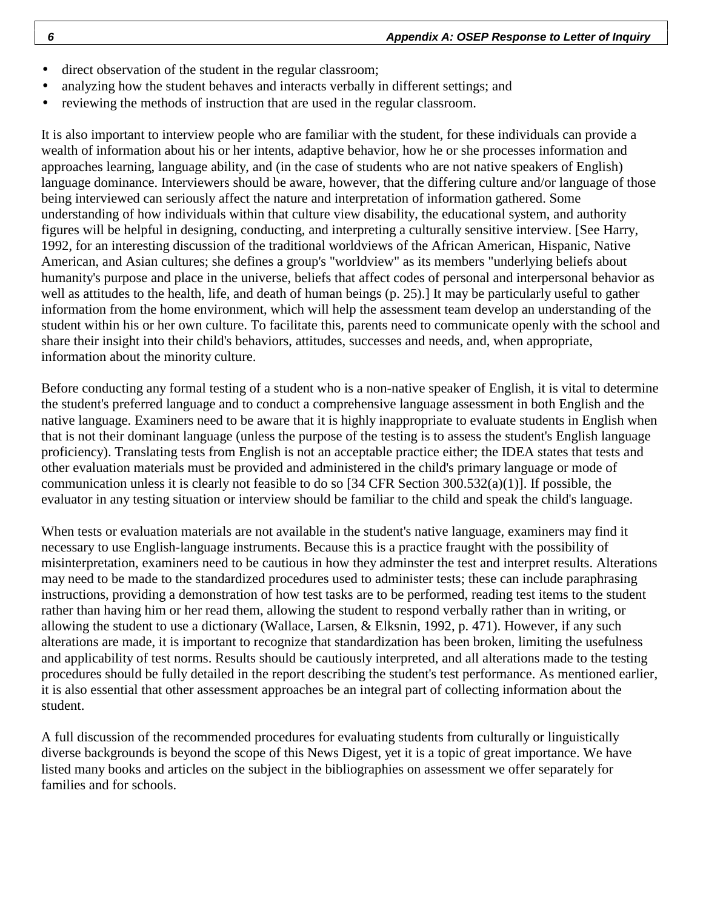- direct observation of the student in the regular classroom;
- analyzing how the student behaves and interacts verbally in different settings; and
- reviewing the methods of instruction that are used in the regular classroom.

It is also important to interview people who are familiar with the student, for these individuals can provide a wealth of information about his or her intents, adaptive behavior, how he or she processes information and approaches learning, language ability, and (in the case of students who are not native speakers of English) language dominance. Interviewers should be aware, however, that the differing culture and/or language of those being interviewed can seriously affect the nature and interpretation of information gathered. Some understanding of how individuals within that culture view disability, the educational system, and authority figures will be helpful in designing, conducting, and interpreting a culturally sensitive interview. [See Harry, 1992, for an interesting discussion of the traditional worldviews of the African American, Hispanic, Native American, and Asian cultures; she defines a group's "worldview" as its members "underlying beliefs about humanity's purpose and place in the universe, beliefs that affect codes of personal and interpersonal behavior as well as attitudes to the health, life, and death of human beings (p. 25).] It may be particularly useful to gather information from the home environment, which will help the assessment team develop an understanding of the student within his or her own culture. To facilitate this, parents need to communicate openly with the school and share their insight into their child's behaviors, attitudes, successes and needs, and, when appropriate, information about the minority culture.

Before conducting any formal testing of a student who is a non-native speaker of English, it is vital to determine the student's preferred language and to conduct a comprehensive language assessment in both English and the native language. Examiners need to be aware that it is highly inappropriate to evaluate students in English when that is not their dominant language (unless the purpose of the testing is to assess the student's English language proficiency). Translating tests from English is not an acceptable practice either; the IDEA states that tests and other evaluation materials must be provided and administered in the child's primary language or mode of communication unless it is clearly not feasible to do so [34 CFR Section 300.532(a)(1)]. If possible, the evaluator in any testing situation or interview should be familiar to the child and speak the child's language.

When tests or evaluation materials are not available in the student's native language, examiners may find it necessary to use English-language instruments. Because this is a practice fraught with the possibility of misinterpretation, examiners need to be cautious in how they adminster the test and interpret results. Alterations may need to be made to the standardized procedures used to administer tests; these can include paraphrasing instructions, providing a demonstration of how test tasks are to be performed, reading test items to the student rather than having him or her read them, allowing the student to respond verbally rather than in writing, or allowing the student to use a dictionary (Wallace, Larsen, & Elksnin, 1992, p. 471). However, if any such alterations are made, it is important to recognize that standardization has been broken, limiting the usefulness and applicability of test norms. Results should be cautiously interpreted, and all alterations made to the testing procedures should be fully detailed in the report describing the student's test performance. As mentioned earlier, it is also essential that other assessment approaches be an integral part of collecting information about the student.

A full discussion of the recommended procedures for evaluating students from culturally or linguistically diverse backgrounds is beyond the scope of this News Digest, yet it is a topic of great importance. We have listed many books and articles on the subject in the bibliographies on assessment we offer separately for families and for schools.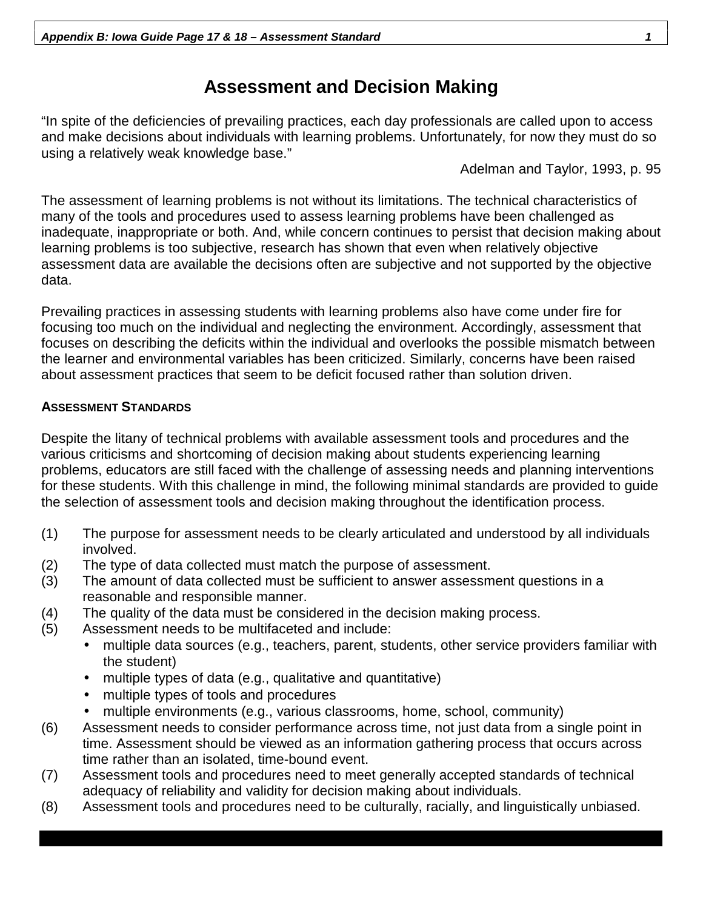### **Assessment and Decision Making**

"In spite of the deficiencies of prevailing practices, each day professionals are called upon to access and make decisions about individuals with learning problems. Unfortunately, for now they must do so using a relatively weak knowledge base."

Adelman and Taylor, 1993, p. 95

The assessment of learning problems is not without its limitations. The technical characteristics of many of the tools and procedures used to assess learning problems have been challenged as inadequate, inappropriate or both. And, while concern continues to persist that decision making about learning problems is too subjective, research has shown that even when relatively objective assessment data are available the decisions often are subjective and not supported by the objective data.

Prevailing practices in assessing students with learning problems also have come under fire for focusing too much on the individual and neglecting the environment. Accordingly, assessment that focuses on describing the deficits within the individual and overlooks the possible mismatch between the learner and environmental variables has been criticized. Similarly, concerns have been raised about assessment practices that seem to be deficit focused rather than solution driven.

#### **ASSESSMENT STANDARDS**

Despite the litany of technical problems with available assessment tools and procedures and the various criticisms and shortcoming of decision making about students experiencing learning problems, educators are still faced with the challenge of assessing needs and planning interventions for these students. With this challenge in mind, the following minimal standards are provided to guide the selection of assessment tools and decision making throughout the identification process.

- (1) The purpose for assessment needs to be clearly articulated and understood by all individuals involved.
- (2) The type of data collected must match the purpose of assessment.
- (3) The amount of data collected must be sufficient to answer assessment questions in a reasonable and responsible manner.
- (4) The quality of the data must be considered in the decision making process.
- (5) Assessment needs to be multifaceted and include:
	- multiple data sources (e.g., teachers, parent, students, other service providers familiar with the student)
	- multiple types of data (e.g., qualitative and quantitative)
	- multiple types of tools and procedures
	- multiple environments (e.g., various classrooms, home, school, community)
- (6) Assessment needs to consider performance across time, not just data from a single point in time. Assessment should be viewed as an information gathering process that occurs across time rather than an isolated, time-bound event.
- (7) Assessment tools and procedures need to meet generally accepted standards of technical adequacy of reliability and validity for decision making about individuals.
- (8) Assessment tools and procedures need to be culturally, racially, and linguistically unbiased.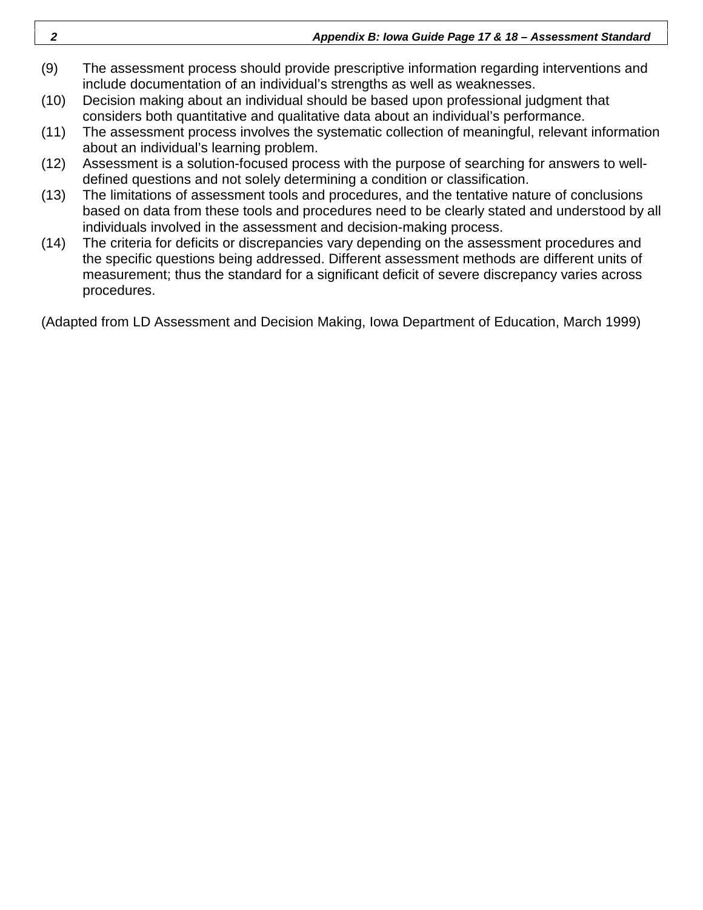| $\overline{2}$ | Appendix B: Iowa Guide Page 17 & 18 - Assessment Standard                                                                                                                                 |
|----------------|-------------------------------------------------------------------------------------------------------------------------------------------------------------------------------------------|
|                |                                                                                                                                                                                           |
| (9)            | The assessment process should provide prescriptive information regarding interventions and                                                                                                |
|                | include documentation of an individual's strengths as well as weaknesses.                                                                                                                 |
| (10)           | Decision making about an individual should be based upon professional judgment that                                                                                                       |
|                | considers both quantitative and qualitative data about an individual's performance.                                                                                                       |
| (11)           | The assessment process involves the systematic collection of meaningful, relevant information                                                                                             |
|                | about an individual's learning problem.                                                                                                                                                   |
| (12)           | Assessment is a solution-focused process with the purpose of searching for answers to well-                                                                                               |
|                | defined questions and not solely determining a condition or classification.                                                                                                               |
| (13)           | The limitations of assessment tools and procedures, and the tentative nature of conclusions                                                                                               |
|                | based on data from these tools and procedures need to be clearly stated and understood by all                                                                                             |
|                | individuals involved in the assessment and decision-making process.                                                                                                                       |
| (14)           | The criteria for deficits or discrepancies vary depending on the assessment procedures and<br>the specific questions being addressed. Different assessment methods are different units of |
|                | measurement; thus the standard for a significant deficit of severe discrepancy varies across                                                                                              |
|                | procedures.                                                                                                                                                                               |
|                |                                                                                                                                                                                           |
|                | (Adapted from LD Assessment and Decision Making, Iowa Department of Education, March 1999)                                                                                                |
|                |                                                                                                                                                                                           |
|                |                                                                                                                                                                                           |
|                |                                                                                                                                                                                           |
|                |                                                                                                                                                                                           |
|                |                                                                                                                                                                                           |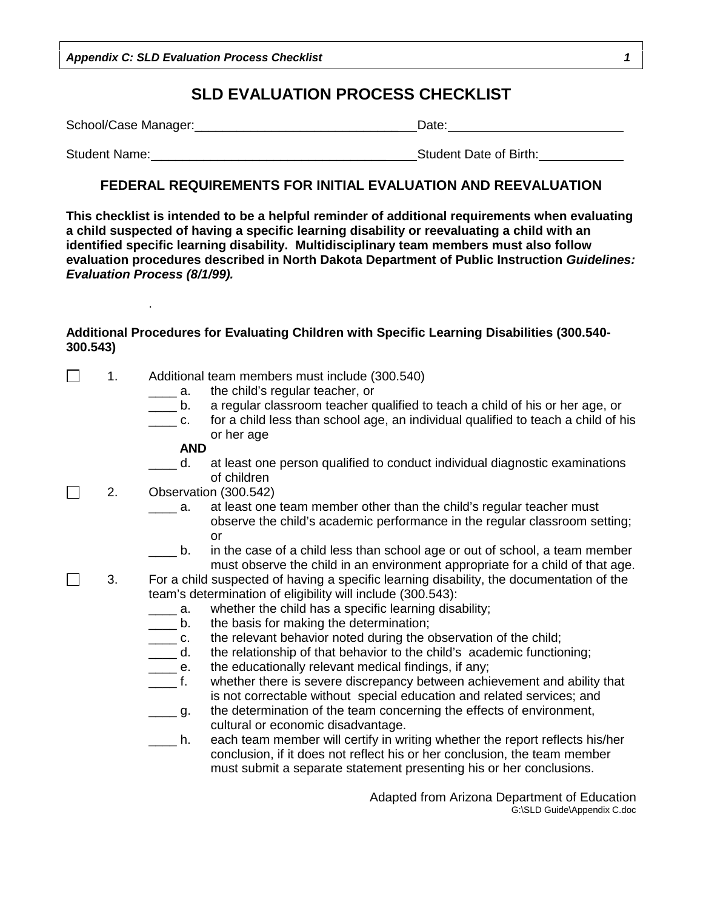#### **SLD EVALUATION PROCESS CHECKLIST**

School/Case Manager:\_\_\_\_\_\_\_\_\_\_\_\_\_\_\_\_\_\_\_\_\_\_\_\_\_\_\_\_\_ Date:

Student Name:  $\overline{\phantom{a}}$  Student Date of Birth:

#### **FEDERAL REQUIREMENTS FOR INITIAL EVALUATION AND REEVALUATION**

**This checklist is intended to be a helpful reminder of additional requirements when evaluating a child suspected of having a specific learning disability or reevaluating a child with an identified specific learning disability. Multidisciplinary team members must also follow evaluation procedures described in North Dakota Department of Public Instruction Guidelines: Evaluation Process (8/1/99).** 

#### **Additional Procedures for Evaluating Children with Specific Learning Disabilities (300.540- 300.543)**

- $\Box$  1. Additional team members must include (300.540)
	- \_\_\_\_ a. the child's regular teacher, or
	- b. a regular classroom teacher qualified to teach a child of his or her age, or
	- \_\_\_\_ c. for a child less than school age, an individual qualified to teach a child of his or her age
		- **AND**
	- \_\_\_\_ d. at least one person qualified to conduct individual diagnostic examinations of children
- $\Box$  2. Observation (300.542)

.

- a. at least one team member other than the child's regular teacher must observe the child's academic performance in the regular classroom setting; or
- b. in the case of a child less than school age or out of school, a team member must observe the child in an environment appropriate for a child of that age.
- $\Box$  3. For a child suspected of having a specific learning disability, the documentation of the team's determination of eligibility will include (300.543):
	- a. whether the child has a specific learning disability;
	- **\_\_\_\_ b.** the basis for making the determination;
	- \_\_\_\_ c. the relevant behavior noted during the observation of the child;
	- d. the relationship of that behavior to the child's academic functioning;
	- e. the educationally relevant medical findings, if any;
	- \_\_\_\_ f. whether there is severe discrepancy between achievement and ability that is not correctable without special education and related services; and
	- g. the determination of the team concerning the effects of environment, cultural or economic disadvantage.
	- **Th.** each team member will certify in writing whether the report reflects his/her conclusion, if it does not reflect his or her conclusion, the team member must submit a separate statement presenting his or her conclusions.

Adapted from Arizona Department of Education G:\SLD Guide\Appendix C.doc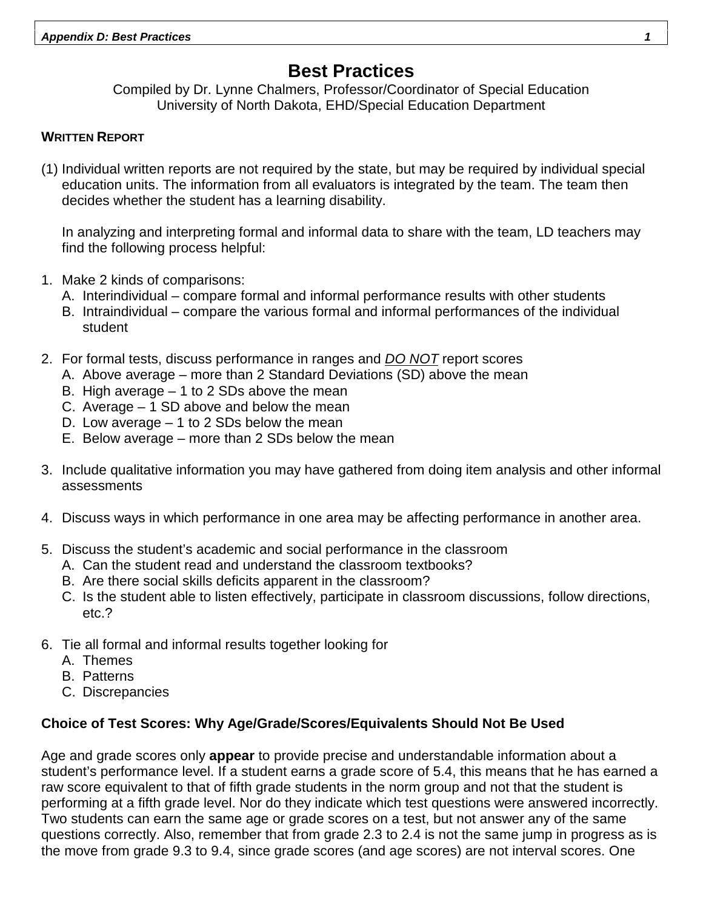### **Best Practices**

Compiled by Dr. Lynne Chalmers, Professor/Coordinator of Special Education University of North Dakota, EHD/Special Education Department

#### **WRITTEN REPORT**

(1) Individual written reports are not required by the state, but may be required by individual special education units. The information from all evaluators is integrated by the team. The team then decides whether the student has a learning disability.

In analyzing and interpreting formal and informal data to share with the team, LD teachers may find the following process helpful:

- 1. Make 2 kinds of comparisons:
	- A. Interindividual compare formal and informal performance results with other students
	- B. Intraindividual compare the various formal and informal performances of the individual student
- 2. For formal tests, discuss performance in ranges and DO NOT report scores
	- A. Above average more than 2 Standard Deviations (SD) above the mean
	- B. High average  $-1$  to 2 SDs above the mean
	- C. Average 1 SD above and below the mean
	- D. Low average  $-1$  to 2 SDs below the mean
	- E. Below average more than 2 SDs below the mean
- 3. Include qualitative information you may have gathered from doing item analysis and other informal assessments
- 4. Discuss ways in which performance in one area may be affecting performance in another area.
- 5. Discuss the student's academic and social performance in the classroom
	- A. Can the student read and understand the classroom textbooks?
	- B. Are there social skills deficits apparent in the classroom?
	- C. Is the student able to listen effectively, participate in classroom discussions, follow directions, etc.?
- 6. Tie all formal and informal results together looking for
	- A. Themes
	- B. Patterns
	- C. Discrepancies

#### **Choice of Test Scores: Why Age/Grade/Scores/Equivalents Should Not Be Used**

Age and grade scores only **appear** to provide precise and understandable information about a student's performance level. If a student earns a grade score of 5.4, this means that he has earned a raw score equivalent to that of fifth grade students in the norm group and not that the student is performing at a fifth grade level. Nor do they indicate which test questions were answered incorrectly. Two students can earn the same age or grade scores on a test, but not answer any of the same questions correctly. Also, remember that from grade 2.3 to 2.4 is not the same jump in progress as is the move from grade 9.3 to 9.4, since grade scores (and age scores) are not interval scores. One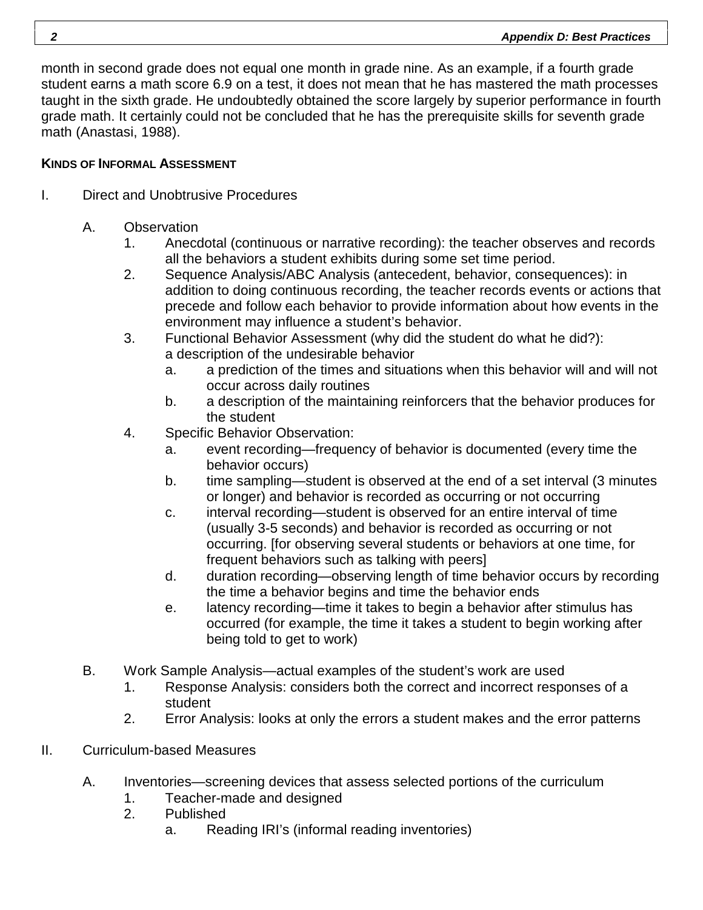month in second grade does not equal one month in grade nine. As an example, if a fourth grade student earns a math score 6.9 on a test, it does not mean that he has mastered the math processes taught in the sixth grade. He undoubtedly obtained the score largely by superior performance in fourth grade math. It certainly could not be concluded that he has the prerequisite skills for seventh grade math (Anastasi, 1988).

#### **KINDS OF INFORMAL ASSESSMENT**

- I. Direct and Unobtrusive Procedures
	- A. Observation
		- 1. Anecdotal (continuous or narrative recording): the teacher observes and records all the behaviors a student exhibits during some set time period.
		- 2. Sequence Analysis/ABC Analysis (antecedent, behavior, consequences): in addition to doing continuous recording, the teacher records events or actions that precede and follow each behavior to provide information about how events in the environment may influence a student's behavior.
		- 3. Functional Behavior Assessment (why did the student do what he did?): a description of the undesirable behavior
			- a. a prediction of the times and situations when this behavior will and will not occur across daily routines
			- b. a description of the maintaining reinforcers that the behavior produces for the student
		- 4. Specific Behavior Observation:
			- a. event recording—frequency of behavior is documented (every time the behavior occurs)
			- b. time sampling—student is observed at the end of a set interval (3 minutes or longer) and behavior is recorded as occurring or not occurring
			- c. interval recording—student is observed for an entire interval of time (usually 3-5 seconds) and behavior is recorded as occurring or not occurring. [for observing several students or behaviors at one time, for frequent behaviors such as talking with peers]
			- d. duration recording—observing length of time behavior occurs by recording the time a behavior begins and time the behavior ends
			- e. latency recording—time it takes to begin a behavior after stimulus has occurred (for example, the time it takes a student to begin working after being told to get to work)
	- B. Work Sample Analysis—actual examples of the student's work are used
		- 1. Response Analysis: considers both the correct and incorrect responses of a student
		- 2. Error Analysis: looks at only the errors a student makes and the error patterns
- II. Curriculum-based Measures
	- A. Inventories—screening devices that assess selected portions of the curriculum
		- 1. Teacher-made and designed
		- 2. Published
			- a. Reading IRI's (informal reading inventories)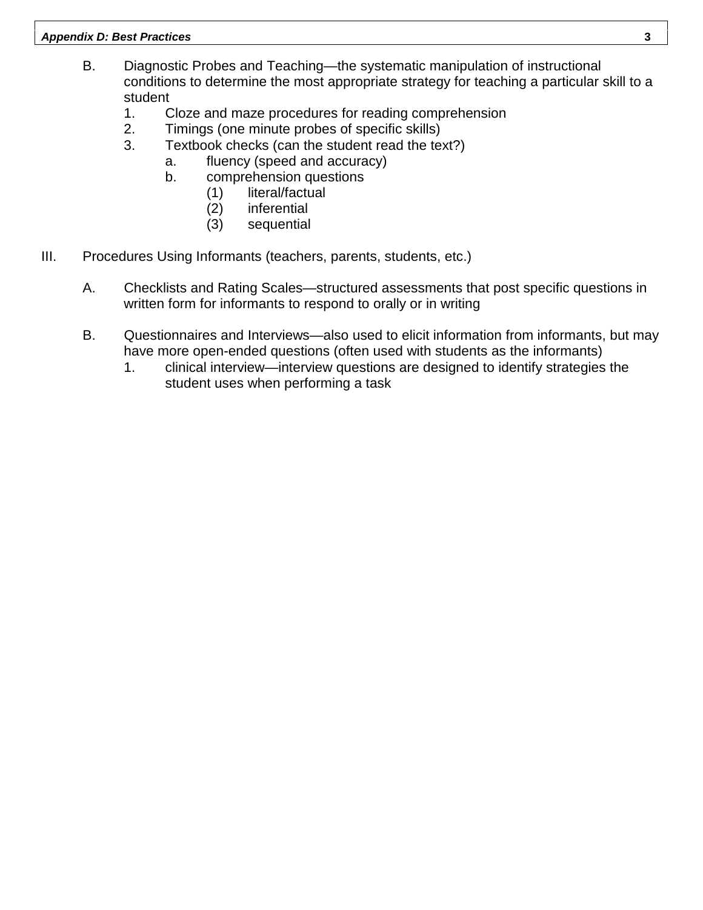- B. Diagnostic Probes and Teaching—the systematic manipulation of instructional conditions to determine the most appropriate strategy for teaching a particular skill to a student
	- 1. Cloze and maze procedures for reading comprehension
	- 2. Timings (one minute probes of specific skills)
	- 3. Textbook checks (can the student read the text?)
		- a. fluency (speed and accuracy)
		- b. comprehension questions
			- (1) literal/factual
			- (2) inferential
			- (3) sequential
- III. Procedures Using Informants (teachers, parents, students, etc.)
	- A. Checklists and Rating Scales—structured assessments that post specific questions in written form for informants to respond to orally or in writing
	- B. Questionnaires and Interviews—also used to elicit information from informants, but may have more open-ended questions (often used with students as the informants)
		- 1. clinical interview—interview questions are designed to identify strategies the student uses when performing a task